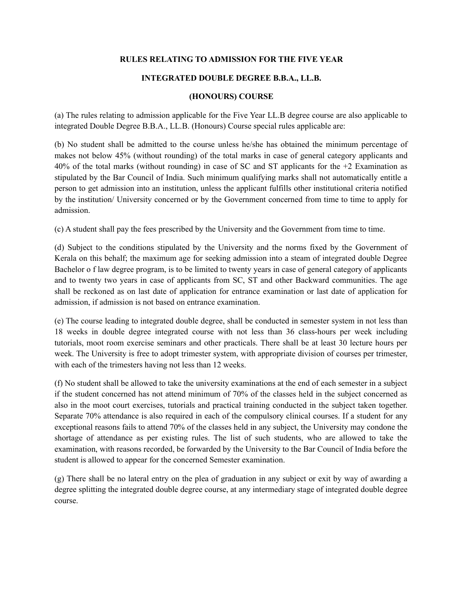# **RULES RELATING TO ADMISSION FOR THE FIVE YEAR**

# **INTEGRATED DOUBLE DEGREE B.B.A., LL.B.**

### **(HONOURS) COURSE**

(a) The rules relating to admission applicable for the Five Year LL.B degree course are also applicable to integrated Double Degree B.B.A., LL.B. (Honours) Course special rules applicable are:

(b) No student shall be admitted to the course unless he/she has obtained the minimum percentage of makes not below 45% (without rounding) of the total marks in case of general category applicants and 40% of the total marks (without rounding) in case of SC and ST applicants for the +2 Examination as stipulated by the Bar Council of India. Such minimum qualifying marks shall not automatically entitle a person to get admission into an institution, unless the applicant fulfills other institutional criteria notified by the institution/ University concerned or by the Government concerned from time to time to apply for admission.

(c) A student shall pay the fees prescribed by the University and the Government from time to time.

(d) Subject to the conditions stipulated by the University and the norms fixed by the Government of Kerala on this behalf; the maximum age for seeking admission into a steam of integrated double Degree Bachelor o f law degree program, is to be limited to twenty years in case of general category of applicants and to twenty two years in case of applicants from SC, ST and other Backward communities. The age shall be reckoned as on last date of application for entrance examination or last date of application for admission, if admission is not based on entrance examination.

(e) The course leading to integrated double degree, shall be conducted in semester system in not less than 18 weeks in double degree integrated course with not less than 36 class-hours per week including tutorials, moot room exercise seminars and other practicals. There shall be at least 30 lecture hours per week. The University is free to adopt trimester system, with appropriate division of courses per trimester, with each of the trimesters having not less than 12 weeks.

(f) No student shall be allowed to take the university examinations at the end of each semester in a subject if the student concerned has not attend minimum of 70% of the classes held in the subject concerned as also in the moot court exercises, tutorials and practical training conducted in the subject taken together. Separate 70% attendance is also required in each of the compulsory clinical courses. If a student for any exceptional reasons fails to attend 70% of the classes held in any subject, the University may condone the shortage of attendance as per existing rules. The list of such students, who are allowed to take the examination, with reasons recorded, be forwarded by the University to the Bar Council of India before the student is allowed to appear for the concerned Semester examination.

(g) There shall be no lateral entry on the plea of graduation in any subject or exit by way of awarding a degree splitting the integrated double degree course, at any intermediary stage of integrated double degree course.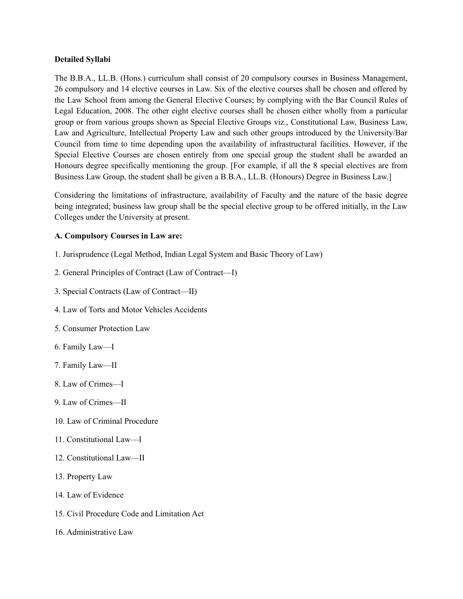### **Detailed Syllabi**

The B.B.A., LL.B. (Hons.) curriculum shall consist of 20 compulsory courses in Business Management, 26 compulsory and 14 elective courses in Law. Six of the elective courses shall be chosen and offered by the Law School from among the General Elective Courses; by complying with the Bar Council Rules of Legal Education, 2008. The other eight elective courses shall be chosen either wholly from a particular group or from various groups shown as Special Elective Groups viz., Constitutional Law, Business Law, Law and Agriculture, Intellectual Property Law and such other groups introduced by the University/Bar Council from time to time depending upon the availability of infrastructural facilities. However, if the Special Elective Courses are chosen entirely from one special group the student shall be awarded an Honours degree specifically mentioning the group. [For example, if all the 8 special electives are from Business Law Group, the student shall be given a B.B.A., LL.B. (Honours) Degree in Business Law.]

Considering the limitations of infrastructure, availability of Faculty and the nature of the basic degree being integrated; business law group shall be the special elective group to be offered initially, in the Law Colleges under the University at present.

# **A. Compulsory Courses in Law are:**

- 1. Jurisprudence (Legal Method, Indian Legal System and Basic Theory of Law)
- 2. General Principles of Contract (Law of Contract—I)
- 3. Special Contracts (Law of Contract—II)
- 4. Law of Torts and Motor Vehicles Accidents
- 5. Consumer Protection Law
- 6. Family Law—I
- 7. Family Law—II
- 8. Law of Crimes—I
- 9. Law of Crimes—II
- 10. Law of Criminal Procedure
- 11. Constitutional Law—I
- 12. Constitutional Law—II
- 13. Property Law
- 14. Law of Evidence
- 15. Civil Procedure Code and Limitation Act
- 16. Administrative Law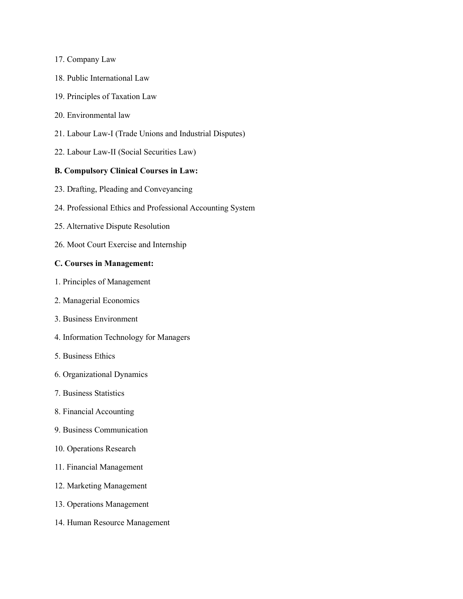#### 17. Company Law

- 18. Public International Law
- 19. Principles of Taxation Law
- 20. Environmental law
- 21. Labour Law-I (Trade Unions and Industrial Disputes)
- 22. Labour Law-II (Social Securities Law)

# **B. Compulsory Clinical Courses in Law:**

- 23. Drafting, Pleading and Conveyancing
- 24. Professional Ethics and Professional Accounting System
- 25. Alternative Dispute Resolution
- 26. Moot Court Exercise and Internship

### **C. Courses in Management:**

- 1. Principles of Management
- 2. Managerial Economics
- 3. Business Environment
- 4. Information Technology for Managers
- 5. Business Ethics
- 6. Organizational Dynamics
- 7. Business Statistics
- 8. Financial Accounting
- 9. Business Communication
- 10. Operations Research
- 11. Financial Management
- 12. Marketing Management
- 13. Operations Management
- 14. Human Resource Management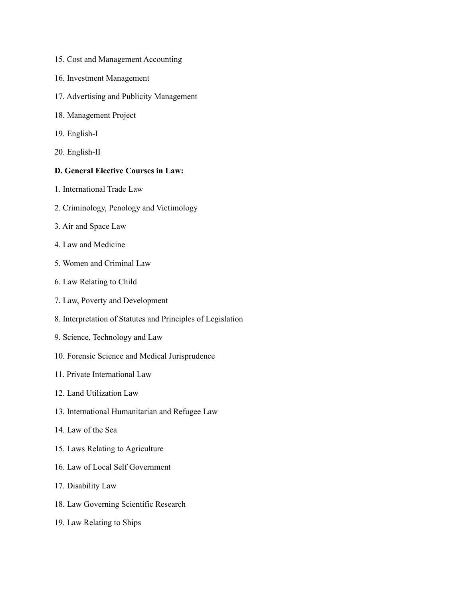- 15. Cost and Management Accounting
- 16. Investment Management
- 17. Advertising and Publicity Management
- 18. Management Project
- 19. English-I
- 20. English-II

# **D. General Elective Courses in Law:**

- 1. International Trade Law
- 2. Criminology, Penology and Victimology
- 3. Air and Space Law
- 4. Law and Medicine
- 5. Women and Criminal Law
- 6. Law Relating to Child
- 7. Law, Poverty and Development
- 8. Interpretation of Statutes and Principles of Legislation
- 9. Science, Technology and Law
- 10. Forensic Science and Medical Jurisprudence
- 11. Private International Law
- 12. Land Utilization Law
- 13. International Humanitarian and Refugee Law
- 14. Law of the Sea
- 15. Laws Relating to Agriculture
- 16. Law of Local Self Government
- 17. Disability Law
- 18. Law Governing Scientific Research
- 19. Law Relating to Ships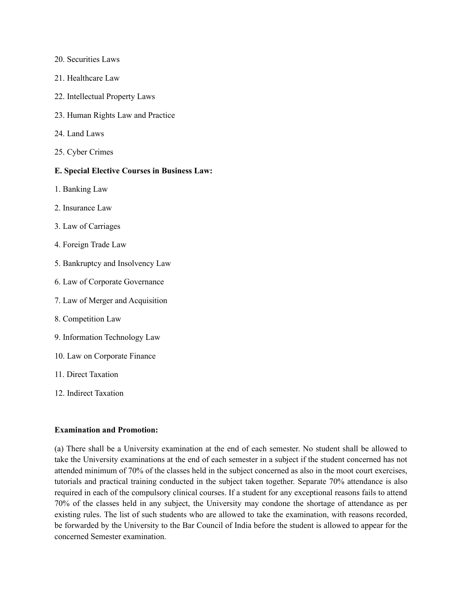- 20. Securities Laws
- 21. Healthcare Law
- 22. Intellectual Property Laws
- 23. Human Rights Law and Practice
- 24. Land Laws
- 25. Cyber Crimes

# **E. Special Elective Courses in Business Law:**

- 1. Banking Law
- 2. Insurance Law
- 3. Law of Carriages
- 4. Foreign Trade Law
- 5. Bankruptcy and Insolvency Law
- 6. Law of Corporate Governance
- 7. Law of Merger and Acquisition
- 8. Competition Law
- 9. Information Technology Law
- 10. Law on Corporate Finance
- 11. Direct Taxation
- 12. Indirect Taxation

#### **Examination and Promotion:**

(a) There shall be a University examination at the end of each semester. No student shall be allowed to take the University examinations at the end of each semester in a subject if the student concerned has not attended minimum of 70% of the classes held in the subject concerned as also in the moot court exercises, tutorials and practical training conducted in the subject taken together. Separate 70% attendance is also required in each of the compulsory clinical courses. If a student for any exceptional reasons fails to attend 70% of the classes held in any subject, the University may condone the shortage of attendance as per existing rules. The list of such students who are allowed to take the examination, with reasons recorded, be forwarded by the University to the Bar Council of India before the student is allowed to appear for the concerned Semester examination.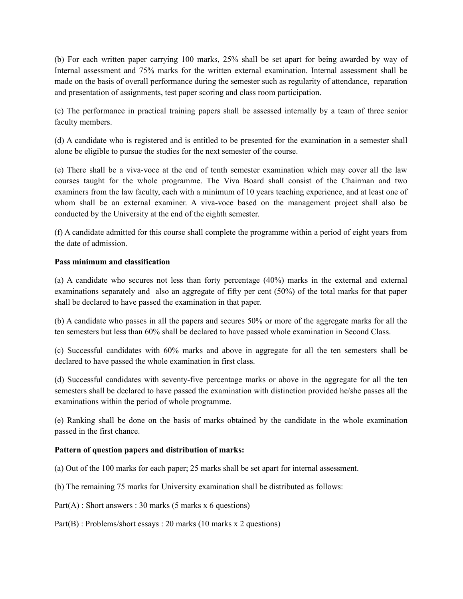(b) For each written paper carrying 100 marks, 25% shall be set apart for being awarded by way of Internal assessment and 75% marks for the written external examination. Internal assessment shall be made on the basis of overall performance during the semester such as regularity of attendance, reparation and presentation of assignments, test paper scoring and class room participation.

(c) The performance in practical training papers shall be assessed internally by a team of three senior faculty members.

(d) A candidate who is registered and is entitled to be presented for the examination in a semester shall alone be eligible to pursue the studies for the next semester of the course.

(e) There shall be a viva-voce at the end of tenth semester examination which may cover all the law courses taught for the whole programme. The Viva Board shall consist of the Chairman and two examiners from the law faculty, each with a minimum of 10 years teaching experience, and at least one of whom shall be an external examiner. A viva-voce based on the management project shall also be conducted by the University at the end of the eighth semester.

(f) A candidate admitted for this course shall complete the programme within a period of eight years from the date of admission.

# **Pass minimum and classification**

(a) A candidate who secures not less than forty percentage (40%) marks in the external and external examinations separately and also an aggregate of fifty per cent (50%) of the total marks for that paper shall be declared to have passed the examination in that paper.

(b) A candidate who passes in all the papers and secures 50% or more of the aggregate marks for all the ten semesters but less than 60% shall be declared to have passed whole examination in Second Class.

(c) Successful candidates with 60% marks and above in aggregate for all the ten semesters shall be declared to have passed the whole examination in first class.

(d) Successful candidates with seventy-five percentage marks or above in the aggregate for all the ten semesters shall be declared to have passed the examination with distinction provided he/she passes all the examinations within the period of whole programme.

(e) Ranking shall be done on the basis of marks obtained by the candidate in the whole examination passed in the first chance.

# **Pattern of question papers and distribution of marks:**

(a) Out of the 100 marks for each paper; 25 marks shall be set apart for internal assessment.

(b) The remaining 75 marks for University examination shall be distributed as follows:

 $Part(A)$ : Short answers : 30 marks (5 marks x 6 questions)

Part(B) : Problems/short essays : 20 marks (10 marks x 2 questions)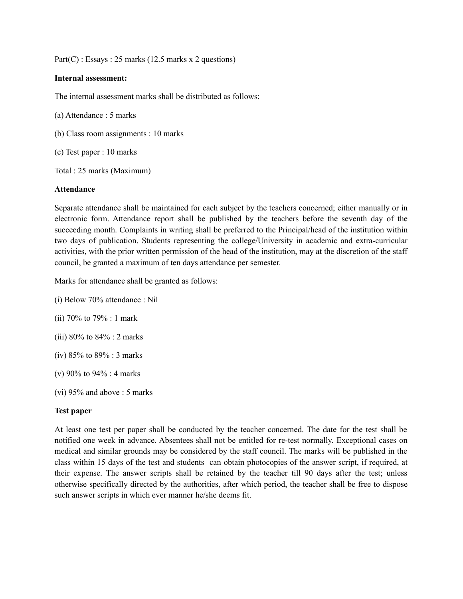$Part(C)$ : Essays : 25 marks (12.5 marks x 2 questions)

#### **Internal assessment:**

The internal assessment marks shall be distributed as follows:

(a) Attendance : 5 marks

(b) Class room assignments : 10 marks

(c) Test paper : 10 marks

Total : 25 marks (Maximum)

#### **Attendance**

Separate attendance shall be maintained for each subject by the teachers concerned; either manually or in electronic form. Attendance report shall be published by the teachers before the seventh day of the succeeding month. Complaints in writing shall be preferred to the Principal/head of the institution within two days of publication. Students representing the college/University in academic and extra-curricular activities, with the prior written permission of the head of the institution, may at the discretion of the staff council, be granted a maximum of ten days attendance per semester.

Marks for attendance shall be granted as follows:

- (i) Below 70% attendance : Nil
- (ii) 70% to 79% : 1 mark
- (iii) 80% to 84% : 2 marks
- (iv) 85% to 89% : 3 marks
- (v) 90% to 94% : 4 marks
- (vi) 95% and above : 5 marks

### **Test paper**

At least one test per paper shall be conducted by the teacher concerned. The date for the test shall be notified one week in advance. Absentees shall not be entitled for re-test normally. Exceptional cases on medical and similar grounds may be considered by the staff council. The marks will be published in the class within 15 days of the test and students can obtain photocopies of the answer script, if required, at their expense. The answer scripts shall be retained by the teacher till 90 days after the test; unless otherwise specifically directed by the authorities, after which period, the teacher shall be free to dispose such answer scripts in which ever manner he/she deems fit.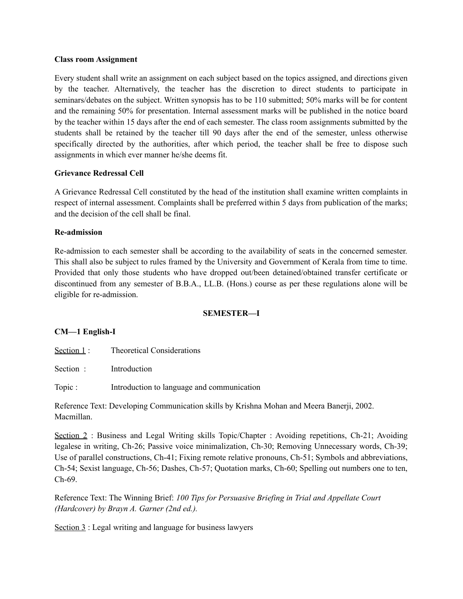#### **Class room Assignment**

Every student shall write an assignment on each subject based on the topics assigned, and directions given by the teacher. Alternatively, the teacher has the discretion to direct students to participate in seminars/debates on the subject. Written synopsis has to be 110 submitted; 50% marks will be for content and the remaining 50% for presentation. Internal assessment marks will be published in the notice board by the teacher within 15 days after the end of each semester. The class room assignments submitted by the students shall be retained by the teacher till 90 days after the end of the semester, unless otherwise specifically directed by the authorities, after which period, the teacher shall be free to dispose such assignments in which ever manner he/she deems fit.

# **Grievance Redressal Cell**

A Grievance Redressal Cell constituted by the head of the institution shall examine written complaints in respect of internal assessment. Complaints shall be preferred within 5 days from publication of the marks; and the decision of the cell shall be final.

### **Re-admission**

Re-admission to each semester shall be according to the availability of seats in the concerned semester. This shall also be subject to rules framed by the University and Government of Kerala from time to time. Provided that only those students who have dropped out/been detained/obtained transfer certificate or discontinued from any semester of B.B.A., LL.B. (Hons.) course as per these regulations alone will be eligible for re-admission.

### **SEMESTER—I**

# **CM—1 English-I**

Section 1 : Theoretical Considerations

Section : Introduction

Topic : Introduction to language and communication

Reference Text: Developing Communication skills by Krishna Mohan and Meera Banerji, 2002. Macmillan.

Section 2: Business and Legal Writing skills Topic/Chapter : Avoiding repetitions, Ch-21; Avoiding legalese in writing, Ch-26; Passive voice minimalization, Ch-30; Removing Unnecessary words, Ch-39; Use of parallel constructions, Ch-41; Fixing remote relative pronouns, Ch-51; Symbols and abbreviations, Ch-54; Sexist language, Ch-56; Dashes, Ch-57; Quotation marks, Ch-60; Spelling out numbers one to ten, Ch-69.

Reference Text: The Winning Brief: *100 Tips for Persuasive Briefing in Trial and Appellate Court (Hardcover) by Brayn A. Garner (2nd ed.).*

Section 3 : Legal writing and language for business lawyers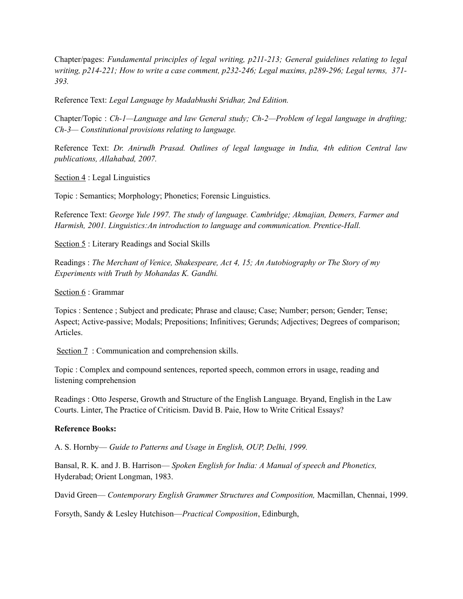Chapter/pages: *Fundamental principles of legal writing, p211-213; General guidelines relating to legal writing, p214-221; How to write a case comment, p232-246; Legal maxims, p289-296; Legal terms, 371- 393.*

Reference Text: *Legal Language by Madabhushi Sridhar, 2nd Edition.*

Chapter/Topic : *Ch-1—Language and law General study; Ch-2—Problem of legal language in drafting; Ch-3— Constitutional provisions relating to language.*

Reference Text: *Dr. Anirudh Prasad. Outlines of legal language in India, 4th edition Central law publications, Allahabad, 2007.*

Section 4 : Legal Linguistics

Topic : Semantics; Morphology; Phonetics; Forensic Linguistics.

Reference Text: *George Yule 1997. The study of language. Cambridge; Akmajian, Demers, Farmer and Harmish, 2001. Linguistics:An introduction to language and communication. Prentice-Hall.*

Section 5 : Literary Readings and Social Skills

Readings : *The Merchant of Venice, Shakespeare, Act 4, 15; An Autobiography or The Story of my Experiments with Truth by Mohandas K. Gandhi.*

Section 6 : Grammar

Topics : Sentence ; Subject and predicate; Phrase and clause; Case; Number; person; Gender; Tense; Aspect; Active-passive; Modals; Prepositions; Infinitives; Gerunds; Adjectives; Degrees of comparison; Articles.

Section 7: Communication and comprehension skills.

Topic : Complex and compound sentences, reported speech, common errors in usage, reading and listening comprehension

Readings : Otto Jesperse, Growth and Structure of the English Language. Bryand, English in the Law Courts. Linter, The Practice of Criticism. David B. Paie, How to Write Critical Essays?

### **Reference Books:**

A. S. Hornby— *Guide to Patterns and Usage in English, OUP, Delhi, 1999.*

Bansal, R. K. and J. B. Harrison— *Spoken English for India: A Manual of speech and Phonetics,*  Hyderabad; Orient Longman, 1983.

David Green— *Contemporary English Grammer Structures and Composition,* Macmillan, Chennai, 1999.

Forsyth, Sandy & Lesley Hutchison—*Practical Composition*, Edinburgh,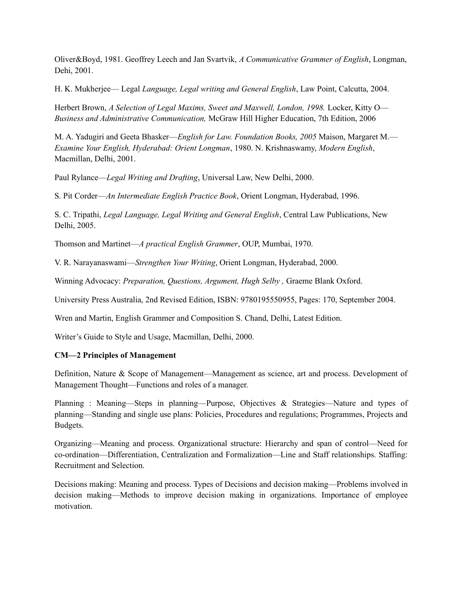Oliver&Boyd, 1981. Geoffrey Leech and Jan Svartvik, *A Communicative Grammer of English*, Longman, Dehi, 2001.

H. K. Mukherjee— Legal *Language, Legal writing and General English*, Law Point, Calcutta, 2004.

Herbert Brown, *A Selection of Legal Maxims, Sweet and Maxwell, London, 1998. Locker, Kitty O-Business and Administrative Communication,* McGraw Hill Higher Education, 7th Edition, 2006

M. A. Yadugiri and Geeta Bhasker—*English for Law. Foundation Books, 2005* Maison, Margaret M.— *Examine Your English, Hyderabad: Orient Longman*, 1980. N. Krishnaswamy, *Modern English*, Macmillan, Delhi, 2001.

Paul Rylance—*Legal Writing and Drafting*, Universal Law, New Delhi, 2000.

S. Pit Corder—*An Intermediate English Practice Book*, Orient Longman, Hyderabad, 1996.

S. C. Tripathi, *Legal Language, Legal Writing and General English*, Central Law Publications, New Delhi, 2005.

Thomson and Martinet—*A practical English Grammer*, OUP, Mumbai, 1970.

V. R. Narayanaswami—*Strengthen Your Writing*, Orient Longman, Hyderabad, 2000.

Winning Advocacy: *Preparation, Questions, Argument, Hugh Selby ,* Graeme Blank Oxford.

University Press Australia, 2nd Revised Edition, ISBN: 9780195550955, Pages: 170, September 2004.

Wren and Martin, English Grammer and Composition S. Chand, Delhi, Latest Edition.

Writer's Guide to Style and Usage, Macmillan, Delhi, 2000.

### **CM—2 Principles of Management**

Definition, Nature & Scope of Management—Management as science, art and process. Development of Management Thought—Functions and roles of a manager.

Planning : Meaning—Steps in planning—Purpose, Objectives & Strategies—Nature and types of planning—Standing and single use plans: Policies, Procedures and regulations; Programmes, Projects and Budgets.

Organizing—Meaning and process. Organizational structure: Hierarchy and span of control—Need for co-ordination—Differentiation, Centralization and Formalization—Line and Staff relationships. Staffing: Recruitment and Selection.

Decisions making: Meaning and process. Types of Decisions and decision making—Problems involved in decision making—Methods to improve decision making in organizations. Importance of employee motivation.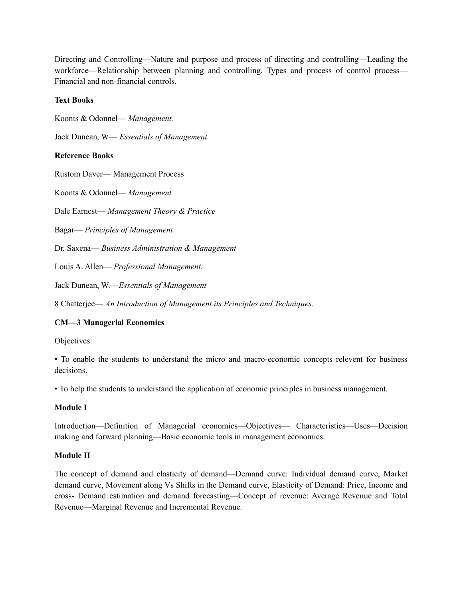Directing and Controlling—Nature and purpose and process of directing and controlling—Leading the workforce—Relationship between planning and controlling. Types and process of control process— Financial and non-financial controls.

# **Text Books**

Koonts & Odonnel— *Management.*

Jack Dunean, W— *Essentials of Management.*

# **Reference Books**

Rustom Daver— Management Process

Koonts & Odonnel— *Management*

Dale Earnest— *Management Theory & Practice*

Bagar— *Principles of Management*

Dr. Saxena— *Business Administration & Management*

Louis A. Allen— *Professional Management.*

Jack Dunean, W.—*Essentials of Management*

8 Chatterjee— *An Introduction of Management its Principles and Techniques.*

# **CM—3 Managerial Economics**

Objectives:

• To enable the students to understand the micro and macro-economic concepts relevent for business decisions.

• To help the students to understand the application of economic principles in business management.

### **Module I**

Introduction—Definition of Managerial economics—Objectives— Characteristics—Uses—Decision making and forward planning—Basic economic tools in management economics.

### **Module II**

The concept of demand and elasticity of demand—Demand curve: Individual demand curve, Market demand curve, Movement along Vs Shifts in the Demand curve, Elasticity of Demand: Price, Income and cross- Demand estimation and demand forecasting—Concept of revenue: Average Revenue and Total Revenue—Marginal Revenue and Incremental Revenue.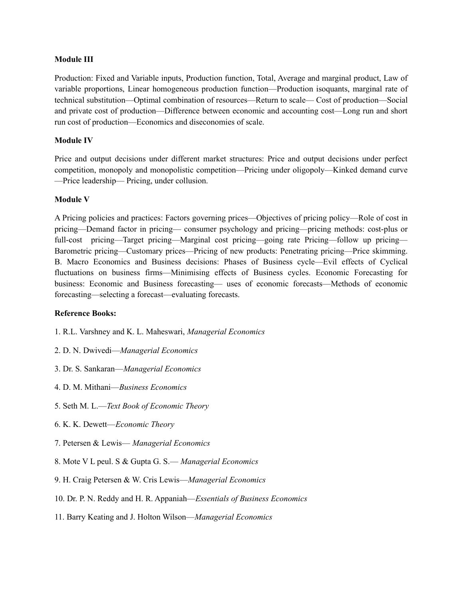### **Module III**

Production: Fixed and Variable inputs, Production function, Total, Average and marginal product, Law of variable proportions, Linear homogeneous production function—Production isoquants, marginal rate of technical substitution—Optimal combination of resources—Return to scale— Cost of production—Social and private cost of production—Difference between economic and accounting cost—Long run and short run cost of production—Economics and diseconomies of scale.

### **Module IV**

Price and output decisions under different market structures: Price and output decisions under perfect competition, monopoly and monopolistic competition—Pricing under oligopoly—Kinked demand curve —Price leadership— Pricing, under collusion.

#### **Module V**

A Pricing policies and practices: Factors governing prices—Objectives of pricing policy—Role of cost in pricing—Demand factor in pricing— consumer psychology and pricing—pricing methods: cost-plus or full-cost pricing—Target pricing—Marginal cost pricing—going rate Pricing—follow up pricing— Barometric pricing—Customary prices—Pricing of new products: Penetrating pricing—Price skimming. B. Macro Economics and Business decisions: Phases of Business cycle—Evil effects of Cyclical fluctuations on business firms—Minimising effects of Business cycles. Economic Forecasting for business: Economic and Business forecasting— uses of economic forecasts—Methods of economic forecasting—selecting a forecast—evaluating forecasts.

#### **Reference Books:**

- 1. R.L. Varshney and K. L. Maheswari, *Managerial Economics*
- 2. D. N. Dwivedi—*Managerial Economics*
- 3. Dr. S. Sankaran—*Managerial Economics*
- 4. D. M. Mithani—*Business Economics*
- 5. Seth M. L.—*Text Book of Economic Theory*
- 6. K. K. Dewett—*Economic Theory*
- 7. Petersen & Lewis— *Managerial Economics*
- 8. Mote V L peul. S & Gupta G. S.— *Managerial Economics*
- 9. H. Craig Petersen & W. Cris Lewis—*Managerial Economics*
- 10. Dr. P. N. Reddy and H. R. Appaniah—*Essentials of Business Economics*
- 11. Barry Keating and J. Holton Wilson—*Managerial Economics*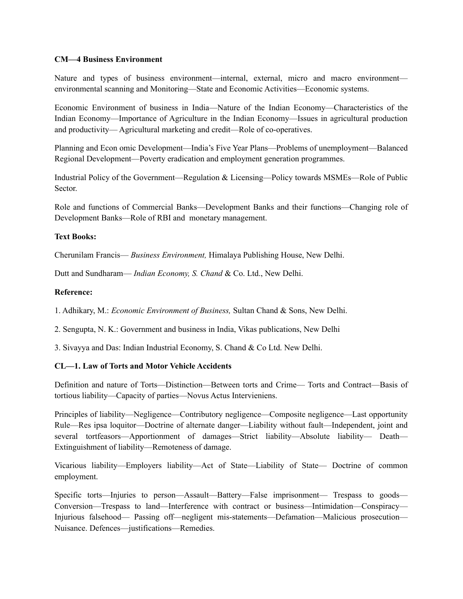### **CM—4 Business Environment**

Nature and types of business environment—internal, external, micro and macro environment environmental scanning and Monitoring—State and Economic Activities—Economic systems.

Economic Environment of business in India—Nature of the Indian Economy—Characteristics of the Indian Economy—Importance of Agriculture in the Indian Economy—Issues in agricultural production and productivity— Agricultural marketing and credit—Role of co-operatives.

Planning and Econ omic Development—India's Five Year Plans—Problems of unemployment—Balanced Regional Development—Poverty eradication and employment generation programmes.

Industrial Policy of the Government—Regulation & Licensing—Policy towards MSMEs—Role of Public Sector.

Role and functions of Commercial Banks—Development Banks and their functions—Changing role of Development Banks—Role of RBI and monetary management.

### **Text Books:**

Cherunilam Francis— *Business Environment,* Himalaya Publishing House, New Delhi.

Dutt and Sundharam— *Indian Economy, S. Chand* & Co. Ltd., New Delhi.

### **Reference:**

1. Adhikary, M.: *Economic Environment of Business,* Sultan Chand & Sons, New Delhi.

2. Sengupta, N. K.: Government and business in India, Vikas publications, New Delhi

3. Sivayya and Das: Indian Industrial Economy, S. Chand & Co Ltd. New Delhi.

### **CL—1. Law of Torts and Motor Vehicle Accidents**

Definition and nature of Torts—Distinction—Between torts and Crime— Torts and Contract—Basis of tortious liability—Capacity of parties—Novus Actus Intervieniens.

Principles of liability—Negligence—Contributory negligence—Composite negligence—Last opportunity Rule—Res ipsa loquitor—Doctrine of alternate danger—Liability without fault—Independent, joint and several tortfeasors—Apportionment of damages—Strict liability—Absolute liability— Death— Extinguishment of liability—Remoteness of damage.

Vicarious liability—Employers liability—Act of State—Liability of State— Doctrine of common employment.

Specific torts—Injuries to person—Assault—Battery—False imprisonment— Trespass to goods— Conversion—Trespass to land—Interference with contract or business—Intimidation—Conspiracy— Injurious falsehood— Passing off—negligent mis-statements—Defamation—Malicious prosecution— Nuisance. Defences—justifications—Remedies.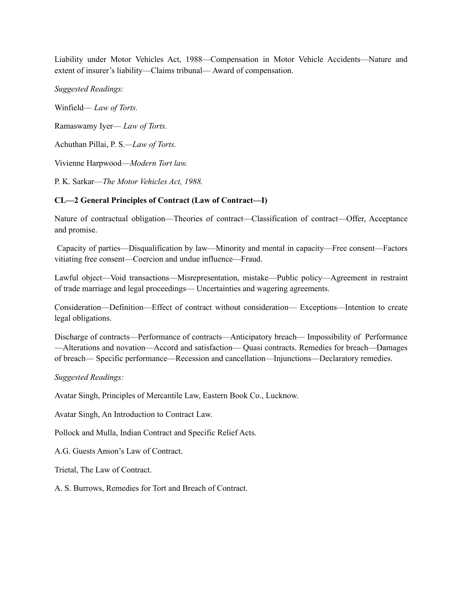Liability under Motor Vehicles Act, 1988—Compensation in Motor Vehicle Accidents—Nature and extent of insurer's liability—Claims tribunal— Award of compensation.

*Suggested Readings:*

Winfield— *Law of Torts.* Ramaswamy Iyer— *Law of Torts.* Achuthan Pillai, P. S.*—Law of Torts.* Vivienne Harpwood—*Modern Tort law.* P. K. Sarkar—*The Motor Vehicles Act, 1988.*

# **CL—2 General Principles of Contract (Law of Contract—I)**

Nature of contractual obligation—Theories of contract—Classification of contract—Offer, Acceptance and promise.

Capacity of parties—Disqualification by law—Minority and mental in capacity—Free consent—Factors vitiating free consent—Coercion and undue influence—Fraud.

Lawful object—Void transactions—Misrepresentation, mistake—Public policy—Agreement in restraint of trade marriage and legal proceedings— Uncertainties and wagering agreements.

Consideration—Definition—Effect of contract without consideration— Exceptions—Intention to create legal obligations.

Discharge of contracts—Performance of contracts—Anticipatory breach— Impossibility of Performance —Alterations and novation—Accord and satisfaction— Quasi contracts. Remedies for breach—Damages of breach— Specific performance—Recession and cancellation—Injunctions—Declaratory remedies.

# *Suggested Readings:*

Avatar Singh, Principles of Mercantile Law, Eastern Book Co., Lucknow.

Avatar Singh, An Introduction to Contract Law.

Pollock and Mulla, Indian Contract and Specific Relief Acts.

A.G. Guests Anson's Law of Contract.

Trietal, The Law of Contract.

A. S. Burrows, Remedies for Tort and Breach of Contract.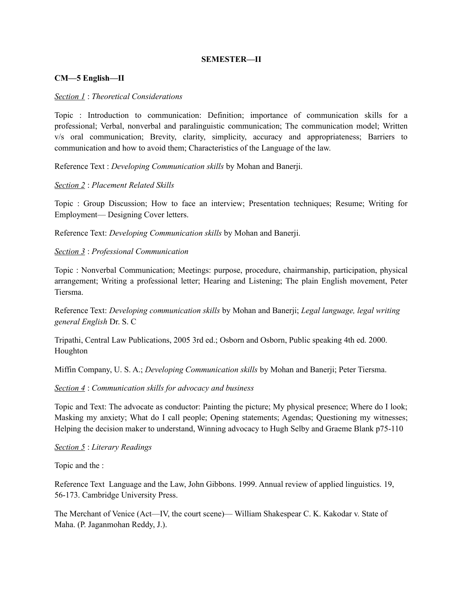# **SEMESTER—II**

### **CM—5 English—II**

#### *Section 1* : *Theoretical Considerations*

Topic : Introduction to communication: Definition; importance of communication skills for a professional; Verbal, nonverbal and paralinguistic communication; The communication model; Written v/s oral communication; Brevity, clarity, simplicity, accuracy and appropriateness; Barriers to communication and how to avoid them; Characteristics of the Language of the law.

Reference Text : *Developing Communication skills* by Mohan and Banerji.

#### *Section 2* : *Placement Related Skills*

Topic : Group Discussion; How to face an interview; Presentation techniques; Resume; Writing for Employment— Designing Cover letters.

Reference Text: *Developing Communication skills* by Mohan and Banerji.

#### *Section 3* : *Professional Communication*

Topic : Nonverbal Communication; Meetings: purpose, procedure, chairmanship, participation, physical arrangement; Writing a professional letter; Hearing and Listening; The plain English movement, Peter Tiersma.

Reference Text: *Developing communication skills* by Mohan and Banerji; *Legal language, legal writing general English* Dr. S. C

Tripathi, Central Law Publications, 2005 3rd ed.; Osborn and Osborn, Public speaking 4th ed. 2000. Houghton

Miffin Company, U. S. A.; *Developing Communication skills* by Mohan and Banerji; Peter Tiersma.

#### *Section 4* : *Communication skills for advocacy and business*

Topic and Text: The advocate as conductor: Painting the picture; My physical presence; Where do I look; Masking my anxiety; What do I call people; Opening statements; Agendas; Questioning my witnesses; Helping the decision maker to understand, Winning advocacy to Hugh Selby and Graeme Blank p75-110

#### *Section 5* : *Literary Readings*

Topic and the :

Reference Text Language and the Law, John Gibbons. 1999. Annual review of applied linguistics. 19, 56-173. Cambridge University Press.

The Merchant of Venice (Act—IV, the court scene)— William Shakespear C. K. Kakodar v. State of Maha. (P. Jaganmohan Reddy, J.).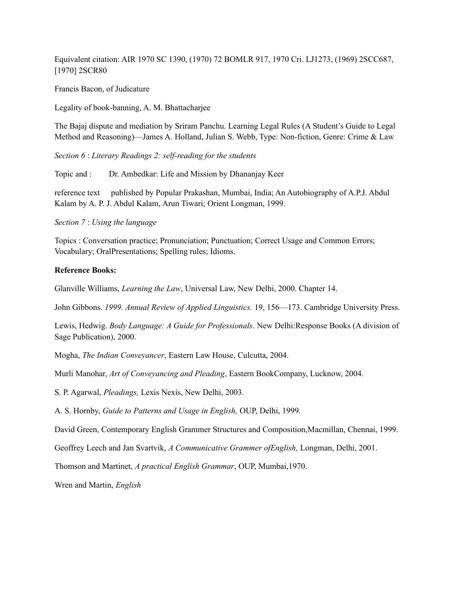Equivalent citation: AIR 1970 SC 1390, (1970) 72 BOMLR 917, 1970 Cri. LJ1273, (1969) 2SCC687, [1970] 2SCR80

Francis Bacon, of Judicature

Legality of book-banning, A. M. Bhattacharjee

The Bajaj dispute and mediation by Sriram Panchu. Learning Legal Rules (A Student's Guide to Legal Method and Reasoning)—James A. Holland, Julian S. Webb, Type: Non-fiction, Genre: Crime & Law

*Section 6* : *Literary Readings 2: self-reading for the students*

Topic and : Dr. Ambedkar: Life and Mission by Dhananjay Keer

reference text published by Popular Prakashan, Mumbai, India; An Autobiography of A.P.J. Abdul Kalam by A. P. J. Abdul Kalam, Arun Tiwari; Orient Longman, 1999.

*Section 7* : *Using the language*

Topics : Conversation practice; Pronunciation; Punctuation; Correct Usage and Common Errors; Vocabulary; OralPresentations; Spelling rules; Idioms.

#### **Reference Books:**

Glanville Williams, *Learning the Law*, Universal Law, New Delhi, 2000. Chapter 14.

John Gibbons. *1999. Annual Review of Applied Linguistics.* 19, 156—173. Cambridge University Press.

Lewis, Hedwig. *Body Language: A Guide for Professionals*. New Delhi:Response Books (A division of Sage Publication), 2000.

Mogha, *The Indian Conveyancer*, Eastern Law House, Culcutta, 2004.

Murli Manohar, *Art of Conveyancing and Pleading*, Eastern BookCompany, Lucknow, 2004.

S. P. Agarwal, *Pleadings,* Lexis Nexis, New Delhi, 2003.

A. S. Hornby, *Guide to Patterns and Usage in English,* OUP, Delhi, 1999.

David Green, Contemporary English Grammer Structures and Composition,Macmillan, Chennai, 1999.

Geoffrey Leech and Jan Svartvik, *A Communicative Grammer ofEnglish,* Longman, Delhi, 2001.

Thomson and Martinet, *A practical English Grammar*, OUP, Mumbai,1970.

Wren and Martin, *English*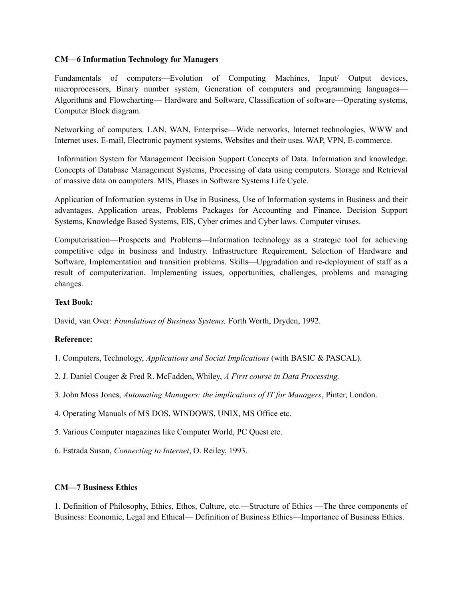### **CM—6 Information Technology for Managers**

Fundamentals of computers—Evolution of Computing Machines, Input/ Output devices, microprocessors, Binary number system, Generation of computers and programming languages— Algorithms and Flowcharting— Hardware and Software, Classification of software—Operating systems, Computer Block diagram.

Networking of computers. LAN, WAN, Enterprise—Wide networks, Internet technologies, WWW and Internet uses. E-mail, Electronic payment systems, Websites and their uses. WAP, VPN, E-commerce.

Information System for Management Decision Support Concepts of Data. Information and knowledge. Concepts of Database Management Systems, Processing of data using computers. Storage and Retrieval of massive data on computers. MIS, Phases in Software Systems Life Cycle.

Application of Information systems in Use in Business, Use of Information systems in Business and their advantages. Application areas, Problems Packages for Accounting and Finance, Decision Support Systems, Knowledge Based Systems, EIS, Cyber crimes and Cyber laws. Computer viruses.

Computerisation—Prospects and Problems—Information technology as a strategic tool for achieving competitive edge in business and Industry. Infrastructure Requirement, Selection of Hardware and Software, Implementation and transition problems. Skills—Upgradation and re-deployment of staff as a result of computerization. Implementing issues, opportunities, challenges, problems and managing changes.

### **Text Book:**

David, van Over: *Foundations of Business Systems,* Forth Worth, Dryden, 1992.

# **Reference:**

- 1. Computers, Technology, *Applications and Social Implications* (with BASIC & PASCAL).
- 2. J. Daniel Couger & Fred R. McFadden, Whiley, *A First course in Data Processing.*
- 3. John Moss Jones, *Automating Managers: the implications of IT for Managers*, Pinter, London.
- 4. Operating Manuals of MS DOS, WINDOWS, UNIX, MS Office etc.
- 5. Various Computer magazines like Computer World, PC Quest etc.
- 6. Estrada Susan, *Connecting to Internet*, O. Reiley, 1993.

### **CM—7 Business Ethics**

1. Definition of Philosophy, Ethics, Ethos, Culture, etc.—Structure of Ethics —The three components of Business: Economic, Legal and Ethical— Definition of Business Ethics—Importance of Business Ethics.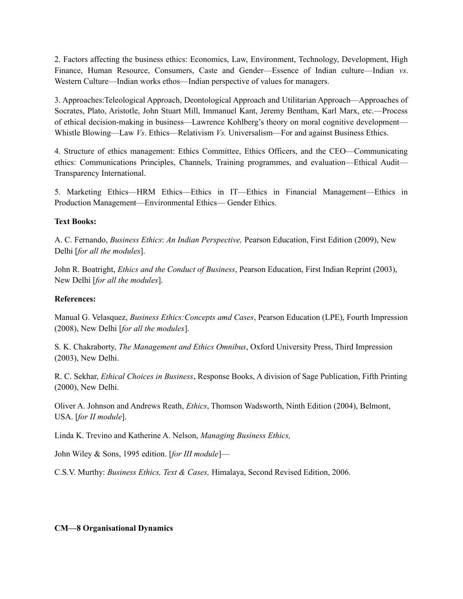2. Factors affecting the business ethics: Economics, Law, Environment, Technology, Development, High Finance, Human Resource, Consumers, Caste and Gender—Essence of Indian culture—Indian *vs*. Western Culture—Indian works ethos—Indian perspective of values for managers.

3. Approaches:Teleological Approach, Deontological Approach and Utilitarian Approach—Approaches of Socrates, Plato, Aristotle, John Stuart Mill, Immanuel Kant, Jeremy Bentham, Karl Marx, etc.—Process of ethical decision-making in business—Lawrence Kohlberg's theory on moral cognitive development— Whistle Blowing—Law *Vs*. Ethics—Relativism *Vs.* Universalism—For and against Business Ethics.

4. Structure of ethics management: Ethics Committee, Ethics Officers, and the CEO—Communicating ethics: Communications Principles, Channels, Training programmes, and evaluation—Ethical Audit— Transparency International.

5. Marketing Ethics—HRM Ethics—Ethics in IT—Ethics in Financial Management—Ethics in Production Management—Environmental Ethics— Gender Ethics.

# **Text Books:**

A. C. Fernando, *Business Ethics*: *An Indian Perspective,* Pearson Education, First Edition (2009), New Delhi [*for all the modules*].

John R. Boatright, *Ethics and the Conduct of Business*, Pearson Education, First Indian Reprint (2003), New Delhi [*for all the modules*].

# **References:**

Manual G. Velasquez, *Business Ethics:Concepts amd Cases*, Pearson Education (LPE), Fourth Impression (2008), New Delhi [*for all the modules*].

S. K. Chakraborty, *The Management and Ethics Omnibus*, Oxford University Press, Third Impression (2003), New Delhi.

R. C. Sekhar, *Ethical Choices in Business*, Response Books, A division of Sage Publication, Fifth Printing (2000), New Delhi.

Oliver A. Johnson and Andrews Reath, *Ethics*, Thomson Wadsworth, Ninth Edition (2004), Belmont, USA. [*for II module*].

Linda K. Trevino and Katherine A. Nelson, *Managing Business Ethics,*

John Wiley & Sons, 1995 edition. [*for III module*]—

C.S.V. Murthy: *Business Ethics, Text & Cases,* Himalaya, Second Revised Edition, 2006.

### **CM—8 Organisational Dynamics**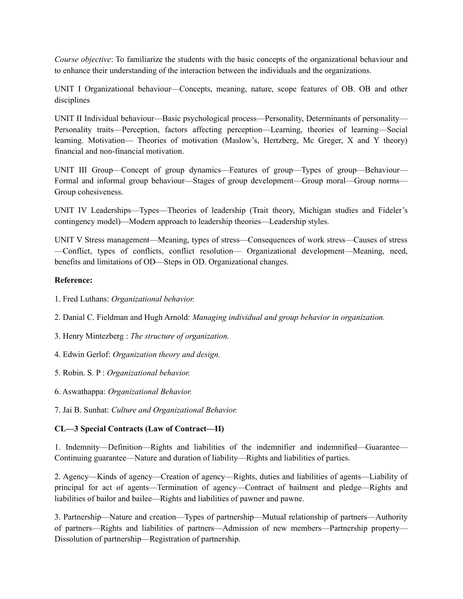*Course objective*: To familiarize the students with the basic concepts of the organizational behaviour and to enhance their understanding of the interaction between the individuals and the organizations.

UNIT I Organizational behaviour—Concepts, meaning, nature, scope features of OB. OB and other disciplines

UNIT II Individual behaviour—Basic psychological process—Personality, Determinants of personality— Personality traits—Perception, factors affecting perception—Learning, theories of learning—Social learning. Motivation— Theories of motivation (Maslow's, Hertzberg, Mc Greger, X and Y theory) financial and non-financial motivation.

UNIT III Group—Concept of group dynamics—Features of group—Types of group—Behaviour— Formal and informal group behaviour—Stages of group development—Group moral—Group norms— Group cohesiveness.

UNIT IV Leaderships—Types—Theories of leadership (Trait theory, Michigan studies and Fideler's contingency model)—Modern approach to leadership theories—Leadership styles.

UNIT V Stress management—Meaning, types of stress—Consequences of work stress—Causes of stress —Conflict, types of conflicts, conflict resolution— Organizational development—Meaning, need, benefits and limitations of OD—Steps in OD. Organizational changes.

# **Reference:**

- 1. Fred Luthans: *Organizational behavior.*
- 2. Danial C. Fieldman and Hugh Arnold: *Managing individual and group behavior in organization.*
- 3. Henry Mintezberg : *The structure of organization.*
- 4. Edwin Gerlof: *Organization theory and design.*
- 5. Robin. S. P : *Organizational behavior.*
- 6. Aswathappa: *Organizational Behavior.*
- 7. Jai B. Sunhat: *Culture and Organizational Behavior.*

# **CL—3 Special Contracts (Law of Contract—II)**

1. Indemnity—Definition—Rights and liabilities of the indemnifier and indemnified—Guarantee— Continuing guarantee—Nature and duration of liability—Rights and liabilities of parties.

2. Agency—Kinds of agency—Creation of agency—Rights, duties and liabilities of agents—Liability of principal for act of agents—Termination of agency—Contract of bailment and pledge—Rights and liabilities of bailor and bailee—Rights and liabilities of pawner and pawne.

3. Partnership—Nature and creation—Types of partnership—Mutual relationship of partners—Authority of partners—Rights and liabilities of partners—Admission of new members—Partnership property— Dissolution of partnership—Registration of partnership.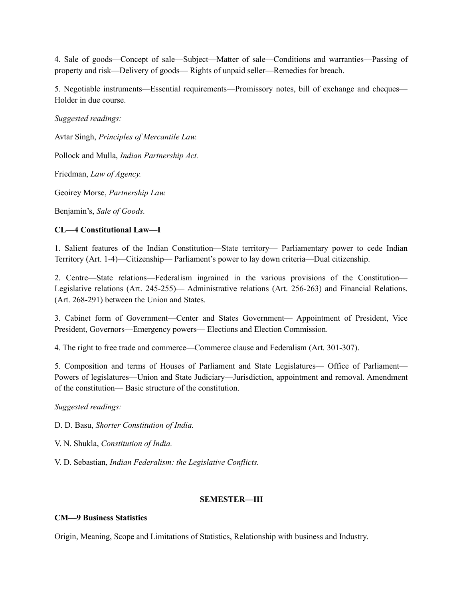4. Sale of goods—Concept of sale—Subject—Matter of sale—Conditions and warranties—Passing of property and risk—Delivery of goods— Rights of unpaid seller—Remedies for breach.

5. Negotiable instruments—Essential requirements—Promissory notes, bill of exchange and cheques— Holder in due course.

*Suggested readings:*

Avtar Singh, *Principles of Mercantile Law.*

Pollock and Mulla, *Indian Partnership Act.*

Friedman, *Law of Agency.*

Geoirey Morse, *Partnership Law.*

Benjamin's, *Sale of Goods.*

### **CL—4 Constitutional Law—I**

1. Salient features of the Indian Constitution—State territory— Parliamentary power to cede Indian Territory (Art. 1-4)—Citizenship— Parliament's power to lay down criteria—Dual citizenship.

2. Centre—State relations—Federalism ingrained in the various provisions of the Constitution— Legislative relations (Art. 245-255)— Administrative relations (Art. 256-263) and Financial Relations. (Art. 268-291) between the Union and States.

3. Cabinet form of Government—Center and States Government— Appointment of President, Vice President, Governors—Emergency powers— Elections and Election Commission.

4. The right to free trade and commerce—Commerce clause and Federalism (Art. 301-307).

5. Composition and terms of Houses of Parliament and State Legislatures— Office of Parliament— Powers of legislatures—Union and State Judiciary—Jurisdiction, appointment and removal. Amendment of the constitution— Basic structure of the constitution.

*Suggested readings:*

D. D. Basu, *Shorter Constitution of India.*

V. N. Shukla, *Constitution of India.*

V. D. Sebastian, *Indian Federalism: the Legislative Conflicts.*

### **SEMESTER—III**

#### **CM—9 Business Statistics**

Origin, Meaning, Scope and Limitations of Statistics, Relationship with business and Industry.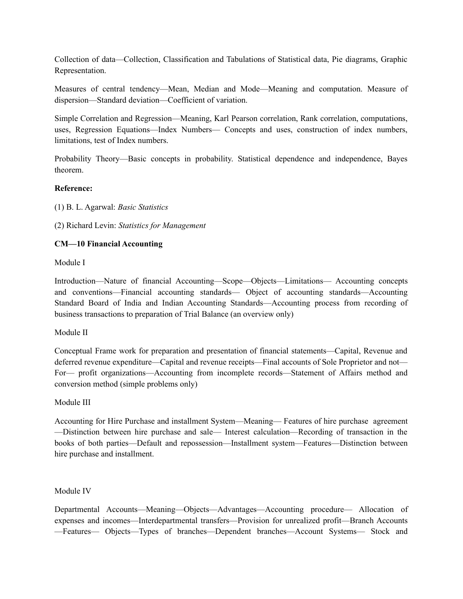Collection of data—Collection, Classification and Tabulations of Statistical data, Pie diagrams, Graphic Representation.

Measures of central tendency—Mean, Median and Mode—Meaning and computation. Measure of dispersion—Standard deviation—Coefficient of variation.

Simple Correlation and Regression—Meaning, Karl Pearson correlation, Rank correlation, computations, uses, Regression Equations—Index Numbers— Concepts and uses, construction of index numbers, limitations, test of Index numbers.

Probability Theory—Basic concepts in probability. Statistical dependence and independence, Bayes theorem.

# **Reference:**

(1) B. L. Agarwal: *Basic Statistics*

(2) Richard Levin: *Statistics for Management*

# **CM—10 Financial Accounting**

Module I

Introduction—Nature of financial Accounting—Scope—Objects—Limitations— Accounting concepts and conventions—Financial accounting standards— Object of accounting standards—Accounting Standard Board of India and Indian Accounting Standards—Accounting process from recording of business transactions to preparation of Trial Balance (an overview only)

### Module II

Conceptual Frame work for preparation and presentation of financial statements—Capital, Revenue and deferred revenue expenditure—Capital and revenue receipts—Final accounts of Sole Proprietor and not— For— profit organizations—Accounting from incomplete records—Statement of Affairs method and conversion method (simple problems only)

### Module III

Accounting for Hire Purchase and installment System—Meaning— Features of hire purchase agreement —Distinction between hire purchase and sale— Interest calculation—Recording of transaction in the books of both parties—Default and repossession—Installment system—Features—Distinction between hire purchase and installment.

### Module IV

Departmental Accounts—Meaning—Objects—Advantages—Accounting procedure— Allocation of expenses and incomes—Interdepartmental transfers—Provision for unrealized profit—Branch Accounts —Features— Objects—Types of branches—Dependent branches—Account Systems— Stock and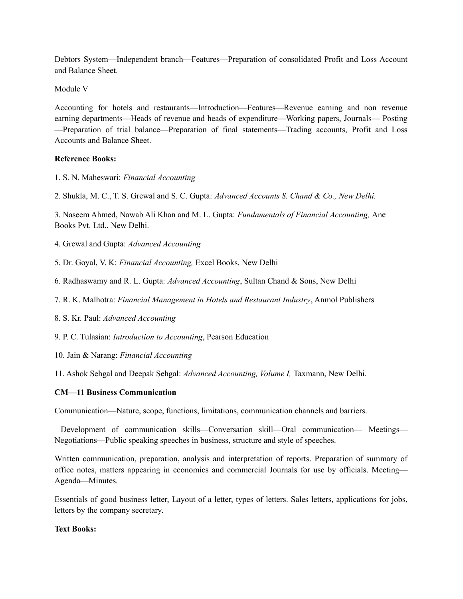Debtors System—Independent branch—Features—Preparation of consolidated Profit and Loss Account and Balance Sheet.

Module V

Accounting for hotels and restaurants—Introduction—Features—Revenue earning and non revenue earning departments—Heads of revenue and heads of expenditure—Working papers, Journals— Posting —Preparation of trial balance—Preparation of final statements—Trading accounts, Profit and Loss Accounts and Balance Sheet.

# **Reference Books:**

- 1. S. N. Maheswari: *Financial Accounting*
- 2. Shukla, M. C., T. S. Grewal and S. C. Gupta: *Advanced Accounts S. Chand & Co., New Delhi.*

3. Naseem Ahmed, Nawab Ali Khan and M. L. Gupta: *Fundamentals of Financial Accounting,* Ane Books Pvt. Ltd., New Delhi.

- 4. Grewal and Gupta: *Advanced Accounting*
- 5. Dr. Goyal, V. K: *Financial Accounting,* Excel Books, New Delhi
- 6. Radhaswamy and R. L. Gupta: *Advanced Accounting*, Sultan Chand & Sons, New Delhi
- 7. R. K. Malhotra: *Financial Management in Hotels and Restaurant Industry*, Anmol Publishers
- 8. S. Kr. Paul: *Advanced Accounting*

9. P. C. Tulasian: *Introduction to Accounting*, Pearson Education

10. Jain & Narang: *Financial Accounting*

11. Ashok Sehgal and Deepak Sehgal: *Advanced Accounting, Volume I,* Taxmann, New Delhi.

### **CM—11 Business Communication**

Communication—Nature, scope, functions, limitations, communication channels and barriers.

Development of communication skills—Conversation skill—Oral communication— Meetings— Negotiations—Public speaking speeches in business, structure and style of speeches.

Written communication, preparation, analysis and interpretation of reports. Preparation of summary of office notes, matters appearing in economics and commercial Journals for use by officials. Meeting— Agenda—Minutes.

Essentials of good business letter, Layout of a letter, types of letters. Sales letters, applications for jobs, letters by the company secretary.

# **Text Books:**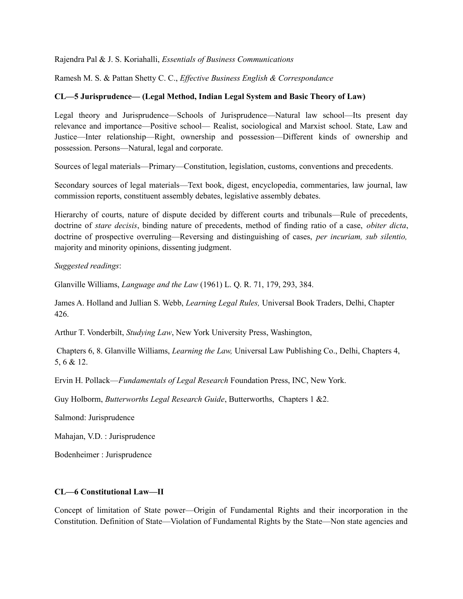Rajendra Pal & J. S. Koriahalli, *Essentials of Business Communications*

Ramesh M. S. & Pattan Shetty C. C., *Effective Business English & Correspondance*

### **CL—5 Jurisprudence— (Legal Method, Indian Legal System and Basic Theory of Law)**

Legal theory and Jurisprudence—Schools of Jurisprudence—Natural law school—Its present day relevance and importance—Positive school— Realist, sociological and Marxist school. State, Law and Justice—Inter relationship—Right, ownership and possession—Different kinds of ownership and possession. Persons—Natural, legal and corporate.

Sources of legal materials—Primary—Constitution, legislation, customs, conventions and precedents.

Secondary sources of legal materials—Text book, digest, encyclopedia, commentaries, law journal, law commission reports, constituent assembly debates, legislative assembly debates.

Hierarchy of courts, nature of dispute decided by different courts and tribunals—Rule of precedents, doctrine of *stare decisis*, binding nature of precedents, method of finding ratio of a case, *obiter dicta*, doctrine of prospective overruling—Reversing and distinguishing of cases, *per incuriam, sub silentio,* majority and minority opinions, dissenting judgment.

*Suggested readings*:

Glanville Williams, *Language and the Law* (1961) L. Q. R. 71, 179, 293, 384.

James A. Holland and Jullian S. Webb, *Learning Legal Rules,* Universal Book Traders, Delhi, Chapter 426.

Arthur T. Vonderbilt, *Studying Law*, New York University Press, Washington,

Chapters 6, 8. Glanville Williams, *Learning the Law,* Universal Law Publishing Co., Delhi, Chapters 4, 5, 6 & 12.

Ervin H. Pollack—*Fundamentals of Legal Research* Foundation Press, INC, New York.

Guy Holborm, *Butterworths Legal Research Guide*, Butterworths, Chapters 1 &2.

Salmond: Jurisprudence

Mahajan, V.D. : Jurisprudence

Bodenheimer : Jurisprudence

#### **CL—6 Constitutional Law—II**

Concept of limitation of State power—Origin of Fundamental Rights and their incorporation in the Constitution. Definition of State—Violation of Fundamental Rights by the State—Non state agencies and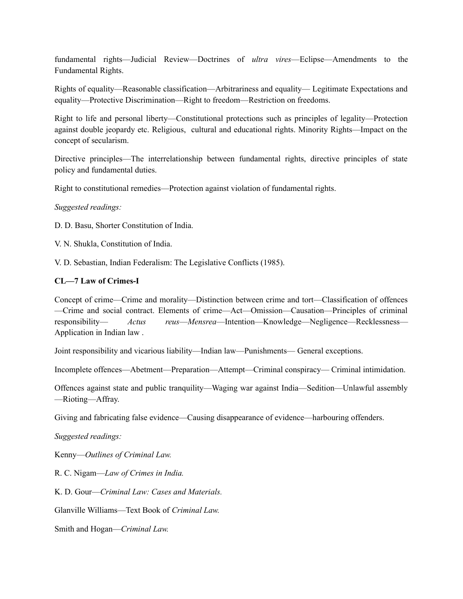fundamental rights—Judicial Review—Doctrines of *ultra vires*—Eclipse—Amendments to the Fundamental Rights.

Rights of equality—Reasonable classification—Arbitrariness and equality— Legitimate Expectations and equality—Protective Discrimination—Right to freedom—Restriction on freedoms.

Right to life and personal liberty—Constitutional protections such as principles of legality—Protection against double jeopardy etc. Religious, cultural and educational rights. Minority Rights—Impact on the concept of secularism.

Directive principles—The interrelationship between fundamental rights, directive principles of state policy and fundamental duties.

Right to constitutional remedies—Protection against violation of fundamental rights.

### *Suggested readings:*

D. D. Basu, Shorter Constitution of India.

V. N. Shukla, Constitution of India.

V. D. Sebastian, Indian Federalism: The Legislative Conflicts (1985).

# **CL—7 Law of Crimes-I**

Concept of crime—Crime and morality—Distinction between crime and tort—Classification of offences —Crime and social contract. Elements of crime—Act—Omission—Causation—Principles of criminal responsibility— *Actus reus*—*Mensrea*—Intention—Knowledge—Negligence—Recklessness— Application in Indian law .

Joint responsibility and vicarious liability—Indian law—Punishments— General exceptions.

Incomplete offences—Abetment—Preparation—Attempt—Criminal conspiracy— Criminal intimidation.

Offences against state and public tranquility—Waging war against India—Sedition—Unlawful assembly —Rioting—Affray.

Giving and fabricating false evidence—Causing disappearance of evidence—harbouring offenders.

*Suggested readings:*

Kenny—*Outlines of Criminal Law.*

R. C. Nigam—*Law of Crimes in India.*

K. D. Gour—*Criminal Law: Cases and Materials.*

Glanville Williams—Text Book of *Criminal Law.*

Smith and Hogan—*Criminal Law.*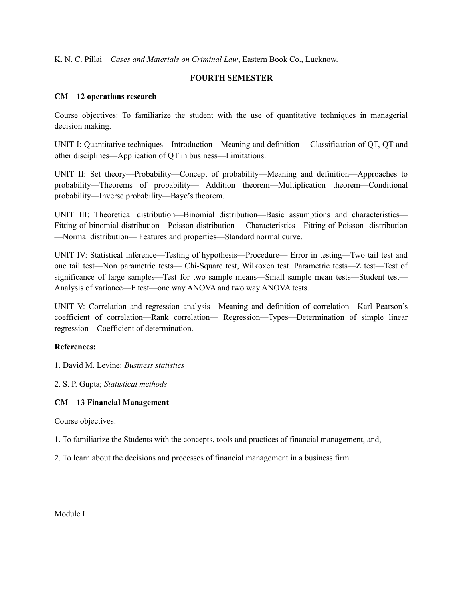K. N. C. Pillai—*Cases and Materials on Criminal Law*, Eastern Book Co., Lucknow.

# **FOURTH SEMESTER**

### **CM—12 operations research**

Course objectives: To familiarize the student with the use of quantitative techniques in managerial decision making.

UNIT I: Quantitative techniques—Introduction—Meaning and definition— Classification of QT, QT and other disciplines—Application of QT in business—Limitations.

UNIT II: Set theory—Probability—Concept of probability—Meaning and definition—Approaches to probability—Theorems of probability— Addition theorem—Multiplication theorem—Conditional probability—Inverse probability—Baye's theorem.

UNIT III: Theoretical distribution—Binomial distribution—Basic assumptions and characteristics— Fitting of binomial distribution—Poisson distribution— Characteristics—Fitting of Poisson distribution —Normal distribution— Features and properties—Standard normal curve.

UNIT IV: Statistical inference—Testing of hypothesis—Procedure— Error in testing—Two tail test and one tail test—Non parametric tests— Chi-Square test, Wilkoxen test. Parametric tests—Z test—Test of significance of large samples—Test for two sample means—Small sample mean tests—Student test— Analysis of variance—F test—one way ANOVA and two way ANOVA tests.

UNIT V: Correlation and regression analysis—Meaning and definition of correlation—Karl Pearson's coefficient of correlation—Rank correlation— Regression—Types—Determination of simple linear regression—Coefficient of determination.

### **References:**

1. David M. Levine: *Business statistics*

2. S. P. Gupta; *Statistical methods*

### **CM—13 Financial Management**

Course objectives:

1. To familiarize the Students with the concepts, tools and practices of financial management, and,

2. To learn about the decisions and processes of financial management in a business firm

Module I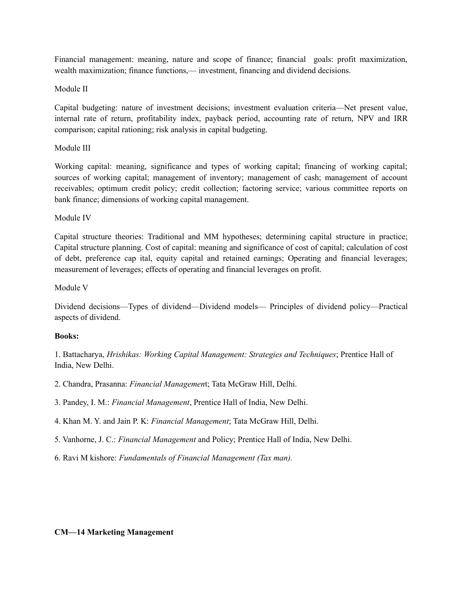Financial management: meaning, nature and scope of finance; financial goals: profit maximization, wealth maximization; finance functions,— investment, financing and dividend decisions.

# Module II

Capital budgeting: nature of investment decisions; investment evaluation criteria—Net present value, internal rate of return, profitability index, payback period, accounting rate of return, NPV and IRR comparison; capital rationing; risk analysis in capital budgeting.

# Module III

Working capital: meaning, significance and types of working capital; financing of working capital; sources of working capital; management of inventory; management of cash; management of account receivables; optimum credit policy; credit collection; factoring service; various committee reports on bank finance; dimensions of working capital management.

# Module IV

Capital structure theories: Traditional and MM hypotheses; determining capital structure in practice; Capital structure planning. Cost of capital: meaning and significance of cost of capital; calculation of cost of debt, preference cap ital, equity capital and retained earnings; Operating and financial leverages; measurement of leverages; effects of operating and financial leverages on profit.

# Module V

Dividend decisions—Types of dividend—Dividend models— Principles of dividend policy—Practical aspects of dividend.

### **Books:**

1. Battacharya, *Hrishikas: Working Capital Management: Strategies and Techniques*; Prentice Hall of India, New Delhi.

2. Chandra, Prasanna: *Financial Managemen*t; Tata McGraw Hill, Delhi.

3. Pandey, I. M.: *Financial Management*, Prentice Hall of India, New Delhi.

4. Khan M. Y. and Jain P. K: *Financial Management*; Tata McGraw Hill, Delhi.

5. Vanhorne, J. C.: *Financial Management* and Policy; Prentice Hall of India, New Delhi.

6. Ravi M kishore: *Fundamentals of Financial Management (Tax man).*

### **CM—14 Marketing Management**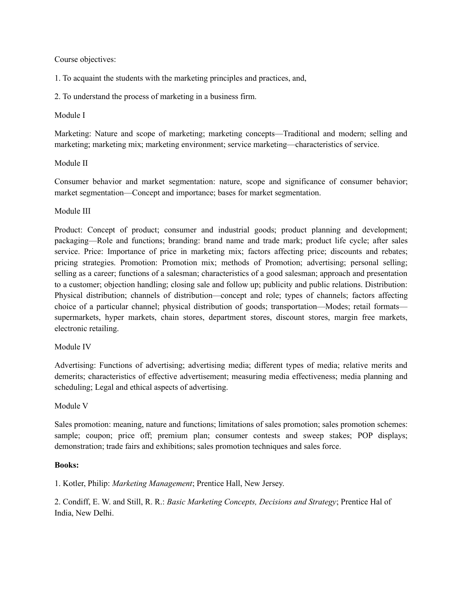Course objectives:

1. To acquaint the students with the marketing principles and practices, and,

2. To understand the process of marketing in a business firm.

# Module I

Marketing: Nature and scope of marketing; marketing concepts—Traditional and modern; selling and marketing; marketing mix; marketing environment; service marketing—characteristics of service.

# Module II

Consumer behavior and market segmentation: nature, scope and significance of consumer behavior; market segmentation—Concept and importance; bases for market segmentation.

# Module III

Product: Concept of product; consumer and industrial goods; product planning and development; packaging—Role and functions; branding: brand name and trade mark; product life cycle; after sales service. Price: Importance of price in marketing mix; factors affecting price; discounts and rebates; pricing strategies. Promotion: Promotion mix; methods of Promotion; advertising; personal selling; selling as a career; functions of a salesman; characteristics of a good salesman; approach and presentation to a customer; objection handling; closing sale and follow up; publicity and public relations. Distribution: Physical distribution; channels of distribution—concept and role; types of channels; factors affecting choice of a particular channel; physical distribution of goods; transportation—Modes; retail formats supermarkets, hyper markets, chain stores, department stores, discount stores, margin free markets, electronic retailing.

### Module IV

Advertising: Functions of advertising; advertising media; different types of media; relative merits and demerits; characteristics of effective advertisement; measuring media effectiveness; media planning and scheduling; Legal and ethical aspects of advertising.

### Module V

Sales promotion: meaning, nature and functions; limitations of sales promotion; sales promotion schemes: sample; coupon; price off; premium plan; consumer contests and sweep stakes; POP displays; demonstration; trade fairs and exhibitions; sales promotion techniques and sales force.

### **Books:**

1. Kotler, Philip: *Marketing Management*; Prentice Hall, New Jersey.

2. Condiff, E. W. and Still, R. R.: *Basic Marketing Concepts, Decisions and Strategy*; Prentice Hal of India, New Delhi.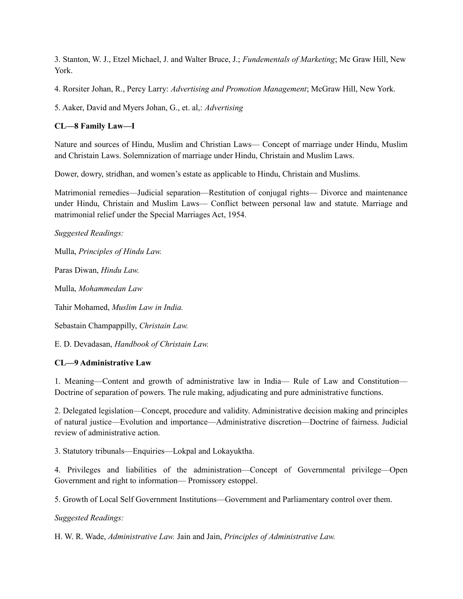3. Stanton, W. J., Etzel Michael, J. and Walter Bruce, J.; *Fundementals of Marketing*; Mc Graw Hill, New York.

4. Rorsiter Johan, R., Percy Larry: *Advertising and Promotion Management*; McGraw Hill, New York.

5. Aaker, David and Myers Johan, G., et. al,: *Advertising*

# **CL—8 Family Law—I**

Nature and sources of Hindu, Muslim and Christian Laws— Concept of marriage under Hindu, Muslim and Christain Laws. Solemnization of marriage under Hindu, Christain and Muslim Laws.

Dower, dowry, stridhan, and women's estate as applicable to Hindu, Christain and Muslims.

Matrimonial remedies—Judicial separation—Restitution of conjugal rights— Divorce and maintenance under Hindu, Christain and Muslim Laws— Conflict between personal law and statute. Marriage and matrimonial relief under the Special Marriages Act, 1954.

*Suggested Readings:*

Mulla, *Principles of Hindu Law.*

Paras Diwan, *Hindu Law.*

Mulla, *Mohammedan Law*

Tahir Mohamed, *Muslim Law in India.*

Sebastain Champappilly, *Christain Law.*

E. D. Devadasan, *Handbook of Christain Law.*

# **CL—9 Administrative Law**

1. Meaning—Content and growth of administrative law in India— Rule of Law and Constitution— Doctrine of separation of powers. The rule making, adjudicating and pure administrative functions.

2. Delegated legislation—Concept, procedure and validity. Administrative decision making and principles of natural justice—Evolution and importance—Administrative discretion—Doctrine of fairness. Judicial review of administrative action.

3. Statutory tribunals—Enquiries—Lokpal and Lokayuktha.

4. Privileges and liabilities of the administration—Concept of Governmental privilege—Open Government and right to information— Promissory estoppel.

5. Growth of Local Self Government Institutions—Government and Parliamentary control over them.

*Suggested Readings:*

H. W. R. Wade, *Administrative Law.* Jain and Jain, *Principles of Administrative Law.*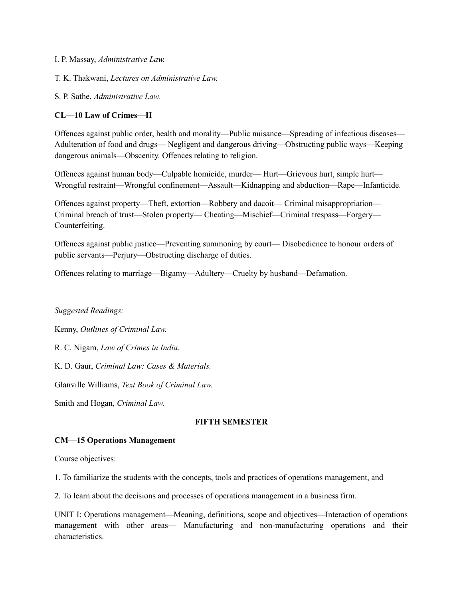- I. P. Massay, *Administrative Law.*
- T. K. Thakwani, *Lectures on Administrative Law.*
- S. P. Sathe, *Administrative Law.*

### **CL—10 Law of Crimes—II**

Offences against public order, health and morality—Public nuisance—Spreading of infectious diseases— Adulteration of food and drugs— Negligent and dangerous driving—Obstructing public ways—Keeping dangerous animals—Obscenity. Offences relating to religion.

Offences against human body—Culpable homicide, murder— Hurt—Grievous hurt, simple hurt— Wrongful restraint—Wrongful confinement—Assault—Kidnapping and abduction—Rape—Infanticide.

Offences against property—Theft, extortion—Robbery and dacoit— Criminal misappropriation— Criminal breach of trust—Stolen property— Cheating—Mischief—Criminal trespass—Forgery— Counterfeiting.

Offences against public justice—Preventing summoning by court— Disobedience to honour orders of public servants—Perjury—Obstructing discharge of duties.

Offences relating to marriage—Bigamy—Adultery—Cruelty by husband—Defamation.

*Suggested Readings:*

Kenny, *Outlines of Criminal Law.*

R. C. Nigam, *Law of Crimes in India.*

K. D. Gaur, *Criminal Law: Cases & Materials.*

Glanville Williams, *Text Book of Criminal Law.*

Smith and Hogan, *Criminal Law.*

#### **FIFTH SEMESTER**

#### **CM—15 Operations Management**

Course objectives:

1. To familiarize the students with the concepts, tools and practices of operations management, and

2. To learn about the decisions and processes of operations management in a business firm.

UNIT I: Operations management—Meaning, definitions, scope and objectives—Interaction of operations management with other areas— Manufacturing and non-manufacturing operations and their characteristics.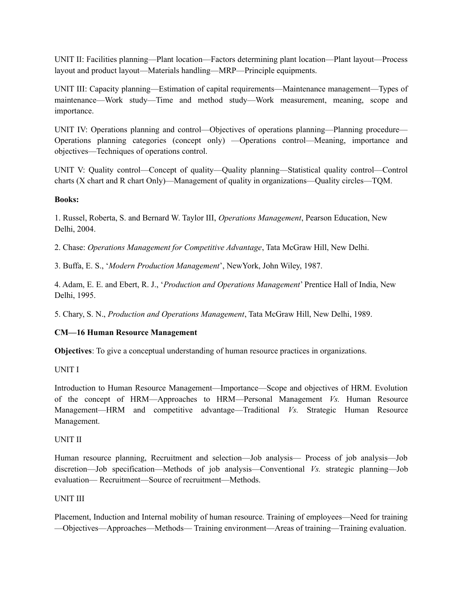UNIT II: Facilities planning—Plant location—Factors determining plant location—Plant layout—Process layout and product layout—Materials handling—MRP—Principle equipments.

UNIT III: Capacity planning—Estimation of capital requirements—Maintenance management—Types of maintenance—Work study—Time and method study—Work measurement, meaning, scope and importance.

UNIT IV: Operations planning and control—Objectives of operations planning—Planning procedure— Operations planning categories (concept only) —Operations control—Meaning, importance and objectives—Techniques of operations control.

UNIT V: Quality control—Concept of quality—Quality planning—Statistical quality control—Control charts (X chart and R chart Only)—Management of quality in organizations—Quality circles—TQM.

# **Books:**

1. Russel, Roberta, S. and Bernard W. Taylor III, *Operations Management*, Pearson Education, New Delhi, 2004.

2. Chase: *Operations Management for Competitive Advantage*, Tata McGraw Hill, New Delhi.

3. Buffa, E. S., '*Modern Production Management*', NewYork, John Wiley, 1987.

4. Adam, E. E. and Ebert, R. J., '*Production and Operations Management*' Prentice Hall of India, New Delhi, 1995.

5. Chary, S. N., *Production and Operations Management*, Tata McGraw Hill, New Delhi, 1989.

# **CM—16 Human Resource Management**

**Objectives**: To give a conceptual understanding of human resource practices in organizations.

UNIT I

Introduction to Human Resource Management—Importance—Scope and objectives of HRM. Evolution of the concept of HRM—Approaches to HRM—Personal Management *Vs.* Human Resource Management—HRM and competitive advantage—Traditional *Vs.* Strategic Human Resource Management.

### UNIT II

Human resource planning, Recruitment and selection—Job analysis— Process of job analysis—Job discretion—Job specification—Methods of job analysis—Conventional *Vs.* strategic planning—Job evaluation— Recruitment—Source of recruitment—Methods.

### UNIT III

Placement, Induction and Internal mobility of human resource. Training of employees—Need for training —Objectives—Approaches—Methods— Training environment—Areas of training—Training evaluation.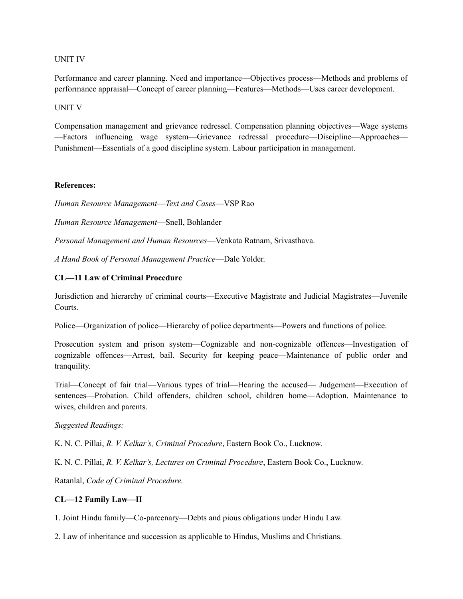#### UNIT IV

Performance and career planning. Need and importance—Objectives process—Methods and problems of performance appraisal—Concept of career planning—Features—Methods—Uses career development.

#### UNIT V

Compensation management and grievance redressel. Compensation planning objectives—Wage systems —Factors influencing wage system—Grievance redressal procedure—Discipline—Approaches— Punishment—Essentials of a good discipline system. Labour participation in management.

#### **References:**

*Human Resource Management*—*Text and Cases*—VSP Rao

*Human Resource Management*—Snell, Bohlander

*Personal Management and Human Resources*—Venkata Ratnam, Srivasthava.

*A Hand Book of Personal Management Practice*—Dale Yolder.

### **CL—11 Law of Criminal Procedure**

Jurisdiction and hierarchy of criminal courts—Executive Magistrate and Judicial Magistrates—Juvenile Courts.

Police—Organization of police—Hierarchy of police departments—Powers and functions of police.

Prosecution system and prison system—Cognizable and non-cognizable offences—Investigation of cognizable offences—Arrest, bail. Security for keeping peace—Maintenance of public order and tranquility.

Trial—Concept of fair trial—Various types of trial—Hearing the accused— Judgement—Execution of sentences—Probation. Child offenders, children school, children home—Adoption. Maintenance to wives, children and parents.

### *Suggested Readings:*

K. N. C. Pillai, *R. V. Kelkar's, Criminal Procedure*, Eastern Book Co., Lucknow.

K. N. C. Pillai, *R. V. Kelkar's, Lectures on Criminal Procedure*, Eastern Book Co., Lucknow.

Ratanlal, *Code of Criminal Procedure.*

### **CL—12 Family Law—II**

1. Joint Hindu family—Co-parcenary—Debts and pious obligations under Hindu Law.

2. Law of inheritance and succession as applicable to Hindus, Muslims and Christians.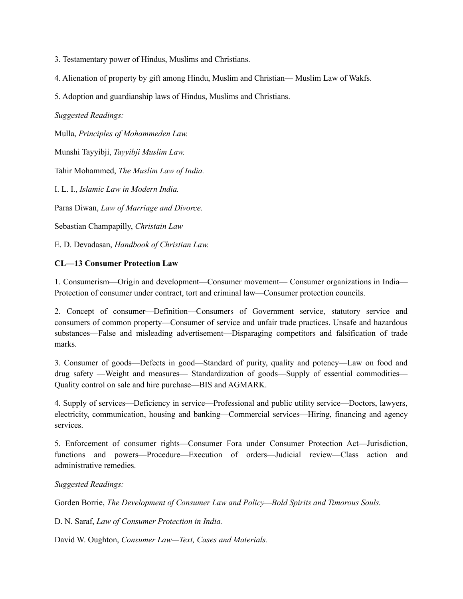3. Testamentary power of Hindus, Muslims and Christians.

4. Alienation of property by gift among Hindu, Muslim and Christian— Muslim Law of Wakfs.

5. Adoption and guardianship laws of Hindus, Muslims and Christians.

*Suggested Readings:*

Mulla, *Principles of Mohammeden Law.*

Munshi Tayyibji, *Tayyibji Muslim Law.*

Tahir Mohammed, *The Muslim Law of India.*

I. L. I., *Islamic Law in Modern India.*

Paras Diwan, *Law of Marriage and Divorce.*

Sebastian Champapilly, *Christain Law*

E. D. Devadasan, *Handbook of Christian Law.*

# **CL—13 Consumer Protection Law**

1. Consumerism—Origin and development—Consumer movement— Consumer organizations in India— Protection of consumer under contract, tort and criminal law—Consumer protection councils.

2. Concept of consumer—Definition—Consumers of Government service, statutory service and consumers of common property—Consumer of service and unfair trade practices. Unsafe and hazardous substances—False and misleading advertisement—Disparaging competitors and falsification of trade marks.

3. Consumer of goods—Defects in good—Standard of purity, quality and potency—Law on food and drug safety —Weight and measures— Standardization of goods—Supply of essential commodities— Quality control on sale and hire purchase—BIS and AGMARK.

4. Supply of services—Deficiency in service—Professional and public utility service—Doctors, lawyers, electricity, communication, housing and banking—Commercial services—Hiring, financing and agency services.

5. Enforcement of consumer rights—Consumer Fora under Consumer Protection Act—Jurisdiction, functions and powers—Procedure—Execution of orders—Judicial review—Class action and administrative remedies.

# *Suggested Readings:*

Gorden Borrie, *The Development of Consumer Law and Policy—Bold Spirits and Timorous Souls.*

D. N. Saraf, *Law of Consumer Protection in India.*

David W. Oughton, *Consumer Law—Text, Cases and Materials.*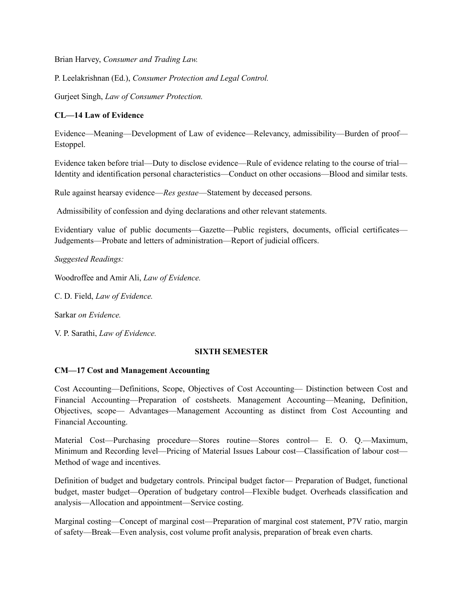Brian Harvey, *Consumer and Trading Law.*

P. Leelakrishnan (Ed.), *Consumer Protection and Legal Control.*

Gurjeet Singh, *Law of Consumer Protection.*

# **CL—14 Law of Evidence**

Evidence—Meaning—Development of Law of evidence—Relevancy, admissibility—Burden of proof— Estoppel.

Evidence taken before trial—Duty to disclose evidence—Rule of evidence relating to the course of trial— Identity and identification personal characteristics—Conduct on other occasions—Blood and similar tests.

Rule against hearsay evidence—*Res gestae*—Statement by deceased persons.

Admissibility of confession and dying declarations and other relevant statements.

Evidentiary value of public documents—Gazette—Public registers, documents, official certificates— Judgements—Probate and letters of administration—Report of judicial officers.

*Suggested Readings:*

Woodroffee and Amir Ali, *Law of Evidence.*

C. D. Field, *Law of Evidence.*

Sarkar *on Evidence.*

V. P. Sarathi, *Law of Evidence.*

# **SIXTH SEMESTER**

### **CM—17 Cost and Management Accounting**

Cost Accounting—Definitions, Scope, Objectives of Cost Accounting— Distinction between Cost and Financial Accounting—Preparation of costsheets. Management Accounting—Meaning, Definition, Objectives, scope— Advantages—Management Accounting as distinct from Cost Accounting and Financial Accounting.

Material Cost—Purchasing procedure—Stores routine—Stores control— E. O. Q.—Maximum, Minimum and Recording level—Pricing of Material Issues Labour cost—Classification of labour cost— Method of wage and incentives.

Definition of budget and budgetary controls. Principal budget factor— Preparation of Budget, functional budget, master budget—Operation of budgetary control—Flexible budget. Overheads classification and analysis—Allocation and appointment—Service costing.

Marginal costing—Concept of marginal cost—Preparation of marginal cost statement, P7V ratio, margin of safety—Break—Even analysis, cost volume profit analysis, preparation of break even charts.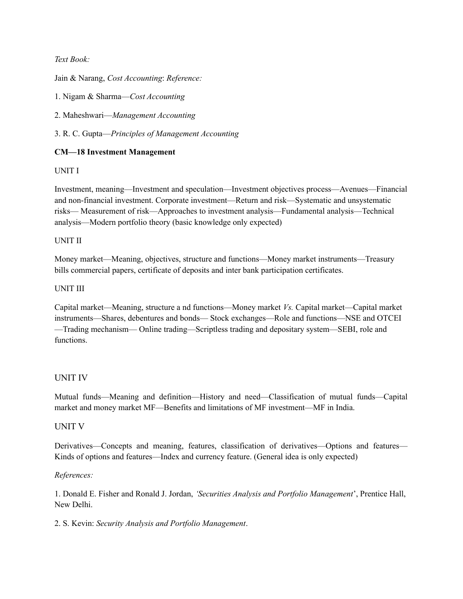# *Text Book:*

Jain & Narang, *Cost Accounting*: *Reference:*

1. Nigam & Sharma—*Cost Accounting*

2. Maheshwari—*Management Accounting*

3. R. C. Gupta—*Principles of Management Accounting*

# **CM—18 Investment Management**

# UNIT I

Investment, meaning—Investment and speculation—Investment objectives process—Avenues—Financial and non-financial investment. Corporate investment—Return and risk—Systematic and unsystematic risks— Measurement of risk—Approaches to investment analysis—Fundamental analysis—Technical analysis—Modern portfolio theory (basic knowledge only expected)

### UNIT II

Money market—Meaning, objectives, structure and functions—Money market instruments—Treasury bills commercial papers, certificate of deposits and inter bank participation certificates.

# UNIT III

Capital market—Meaning, structure a nd functions—Money market *Vs.* Capital market—Capital market instruments—Shares, debentures and bonds— Stock exchanges—Role and functions—NSE and OTCEI —Trading mechanism— Online trading—Scriptless trading and depositary system—SEBI, role and functions.

### UNIT IV

Mutual funds—Meaning and definition—History and need—Classification of mutual funds—Capital market and money market MF—Benefits and limitations of MF investment—MF in India.

### UNIT V

Derivatives—Concepts and meaning, features, classification of derivatives—Options and features— Kinds of options and features—Index and currency feature. (General idea is only expected)

### *References:*

1. Donald E. Fisher and Ronald J. Jordan, *'Securities Analysis and Portfolio Management*', Prentice Hall, New Delhi.

2. S. Kevin: *Security Analysis and Portfolio Management*.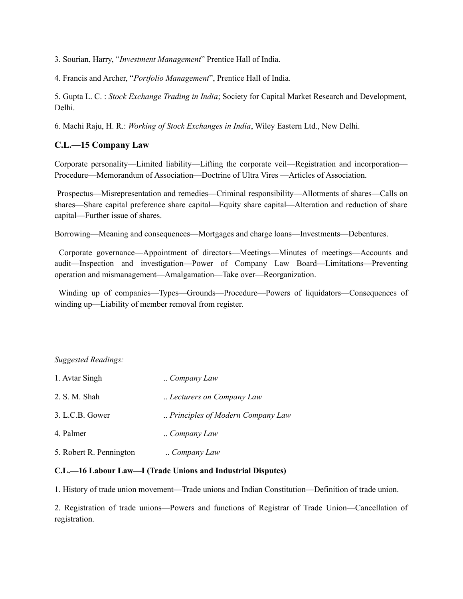3. Sourian, Harry, "*Investment Management*" Prentice Hall of India.

4. Francis and Archer, "*Portfolio Management*", Prentice Hall of India.

5. Gupta L. C. : *Stock Exchange Trading in India*; Society for Capital Market Research and Development, Delhi.

6. Machi Raju, H. R.: *Working of Stock Exchanges in India*, Wiley Eastern Ltd., New Delhi.

# **C.L.—15 Company Law**

Corporate personality—Limited liability—Lifting the corporate veil—Registration and incorporation— Procedure—Memorandum of Association—Doctrine of Ultra Vires —Articles of Association.

Prospectus—Misrepresentation and remedies—Criminal responsibility—Allotments of shares—Calls on shares—Share capital preference share capital—Equity share capital—Alteration and reduction of share capital—Further issue of shares.

Borrowing—Meaning and consequences—Mortgages and charge loans—Investments—Debentures.

Corporate governance—Appointment of directors—Meetings—Minutes of meetings—Accounts and audit—Inspection and investigation—Power of Company Law Board—Limitations—Preventing operation and mismanagement—Amalgamation—Take over—Reorganization.

Winding up of companies—Types—Grounds—Procedure—Powers of liquidators—Consequences of winding up—Liability of member removal from register.

# *Suggested Readings:*

| 1. Avtar Singh          | Company Law                      |
|-------------------------|----------------------------------|
| 2. S. M. Shah           | Lecturers on Company Law         |
| 3. L.C.B. Gower         | Principles of Modern Company Law |
| 4. Palmer               | Company Law                      |
| 5. Robert R. Pennington | Company Law                      |

### **C.L.—16 Labour Law—I (Trade Unions and Industrial Disputes)**

1. History of trade union movement—Trade unions and Indian Constitution—Definition of trade union.

2. Registration of trade unions—Powers and functions of Registrar of Trade Union—Cancellation of registration.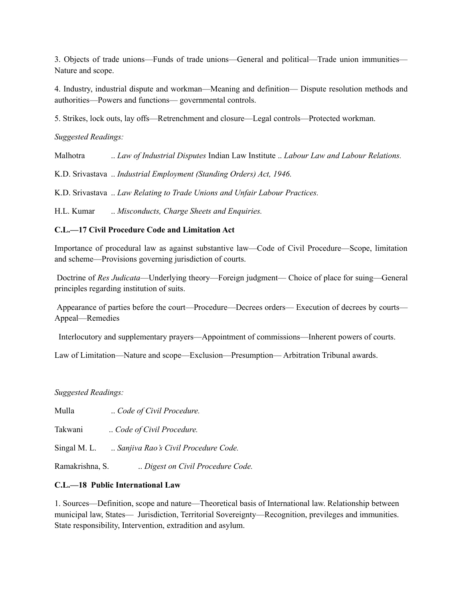3. Objects of trade unions—Funds of trade unions—General and political—Trade union immunities— Nature and scope.

4. Industry, industrial dispute and workman—Meaning and definition— Dispute resolution methods and authorities—Powers and functions— governmental controls.

5. Strikes, lock outs, lay offs—Retrenchment and closure—Legal controls—Protected workman.

*Suggested Readings:*

Malhotra .. *Law of Industrial Disputes* Indian Law Institute .. *Labour Law and Labour Relations.*

K.D. Srivastava .. *Industrial Employment (Standing Orders) Act, 1946.*

K.D. Srivastava .. *Law Relating to Trade Unions and Unfair Labour Practices.*

H.L. Kumar .. *Misconducts, Charge Sheets and Enquiries.*

# **C.L.—17 Civil Procedure Code and Limitation Act**

Importance of procedural law as against substantive law—Code of Civil Procedure—Scope, limitation and scheme—Provisions governing jurisdiction of courts.

Doctrine of *Res Judicata*—Underlying theory—Foreign judgment— Choice of place for suing—General principles regarding institution of suits.

Appearance of parties before the court—Procedure—Decrees orders— Execution of decrees by courts— Appeal—Remedies

Interlocutory and supplementary prayers—Appointment of commissions—Inherent powers of courts.

Law of Limitation—Nature and scope—Exclusion—Presumption— Arbitration Tribunal awards.

*Suggested Readings:*

Mulla .. *Code of Civil Procedure.*

Takwani ... *Code of Civil Procedure*.

Singal M. L. .. *Sanjiva Rao's Civil Procedure Code.*

Ramakrishna, S. .. *Digest on Civil Procedure Code.*

# **C.L.—18 Public International Law**

1. Sources—Definition, scope and nature—Theoretical basis of International law. Relationship between municipal law, States— Jurisdiction, Territorial Sovereignty—Recognition, previleges and immunities. State responsibility, Intervention, extradition and asylum.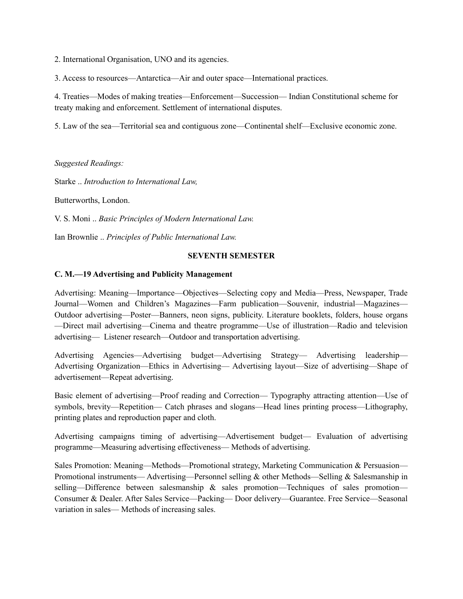2. International Organisation, UNO and its agencies.

3. Access to resources—Antarctica—Air and outer space—International practices.

4. Treaties—Modes of making treaties—Enforcement—Succession— Indian Constitutional scheme for treaty making and enforcement. Settlement of international disputes.

5. Law of the sea—Territorial sea and contiguous zone—Continental shelf—Exclusive economic zone.

*Suggested Readings:*

Starke .. *Introduction to International Law,*

Butterworths, London.

V. S. Moni .. *Basic Principles of Modern International Law.*

Ian Brownlie .. *Principles of Public International Law.*

#### **SEVENTH SEMESTER**

#### **C. M.—19 Advertising and Publicity Management**

Advertising: Meaning—Importance—Objectives—Selecting copy and Media—Press, Newspaper, Trade Journal—Women and Children's Magazines—Farm publication—Souvenir, industrial—Magazines— Outdoor advertising—Poster—Banners, neon signs, publicity. Literature booklets, folders, house organs —Direct mail advertising—Cinema and theatre programme—Use of illustration—Radio and television advertising— Listener research—Outdoor and transportation advertising.

Advertising Agencies—Advertising budget—Advertising Strategy— Advertising leadership— Advertising Organization—Ethics in Advertising— Advertising layout—Size of advertising—Shape of advertisement—Repeat advertising.

Basic element of advertising—Proof reading and Correction— Typography attracting attention—Use of symbols, brevity—Repetition— Catch phrases and slogans—Head lines printing process—Lithography, printing plates and reproduction paper and cloth.

Advertising campaigns timing of advertising—Advertisement budget— Evaluation of advertising programme—Measuring advertising effectiveness— Methods of advertising.

Sales Promotion: Meaning—Methods—Promotional strategy, Marketing Communication & Persuasion— Promotional instruments— Advertising—Personnel selling  $\&$  other Methods—Selling  $\&$  Salesmanship in selling—Difference between salesmanship & sales promotion—Techniques of sales promotion— Consumer & Dealer. After Sales Service—Packing— Door delivery—Guarantee. Free Service—Seasonal variation in sales— Methods of increasing sales.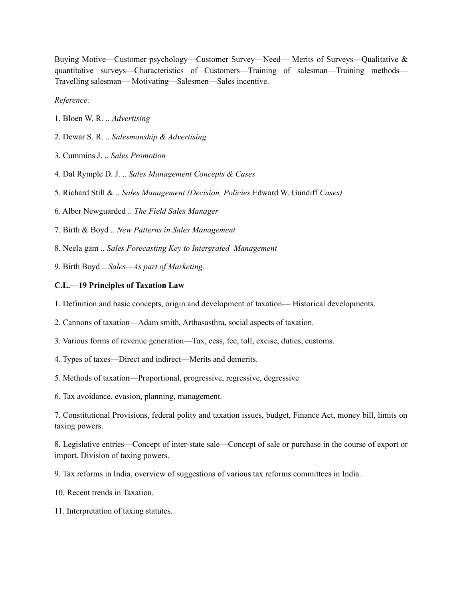Buying Motive—Customer psychology—Customer Survey—Need— Merits of Surveys—Qualitative & quantitative surveys—Characteristics of Customers—Training of salesman—Training methods— Travelling salesman— Motivating—Salesmen—Sales incentive.

*Reference:*

- 1. Bloen W. R. .. *Advertising*
- 2. Dewar S. R. .. *Salesmanship & Advertising*
- 3. Cummins J. .. *Sales Promotion*
- 4. Dal Rymple D. J. .. *Sales Management Concepts & Cases*
- 5. Richard Still & .. *Sales Management (Decision, Policies* Edward W. Gundiff *Cases)*
- 6. Alber Newguarded .. *The Field Sales Manager*
- 7. Birth & Boyd .. *New Patterns in Sales Management*
- 8. Neela gam .. *Sales Forecasting Key to Intergrated Management*
- 9. Birth Boyd .. *Sales—As part of Marketing.*

#### **C.L.—19 Principles of Taxation Law**

- 1. Definition and basic concepts, origin and development of taxation— Historical developments.
- 2. Cannons of taxation—Adam smith, Arthasasthra, social aspects of taxation.
- 3. Various forms of revenue generation—Tax, cess, fee, toll, excise, duties, customs.
- 4. Types of taxes—Direct and indirect—Merits and demerits.
- 5. Methods of taxation—Proportional, progressive, regressive, degressive
- 6. Tax avoidance, evasion, planning, management.

7. Constitutional Provisions, federal polity and taxation issues, budget, Finance Act, money bill, limits on taxing powers.

8. Legislative entries—Concept of inter-state sale—Concept of sale or purchase in the course of export or import. Division of taxing powers.

- 9. Tax reforms in India, overview of suggestions of various tax reforms committees in India.
- 10. Recent trends in Taxation.
- 11. Interpretation of taxing statutes.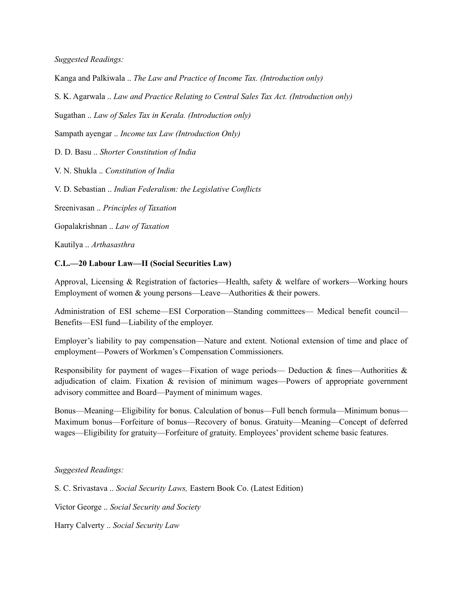*Suggested Readings:*

Kanga and Palkiwala .. *The Law and Practice of Income Tax. (Introduction only)*

S. K. Agarwala .. *Law and Practice Relating to Central Sales Tax Act. (Introduction only)*

Sugathan .. *Law of Sales Tax in Kerala. (Introduction only)*

Sampath ayengar .. *Income tax Law (Introduction Only)*

D. D. Basu .. *Shorter Constitution of India*

V. N. Shukla .. *Constitution of India*

V. D. Sebastian .. *Indian Federalism: the Legislative Conflicts*

Sreenivasan .. *Principles of Taxation*

Gopalakrishnan .. *Law of Taxation*

Kautilya .. *Arthasasthra*

#### **C.L.—20 Labour Law—II (Social Securities Law)**

Approval, Licensing & Registration of factories—Health, safety & welfare of workers—Working hours Employment of women & young persons—Leave—Authorities & their powers.

Administration of ESI scheme—ESI Corporation—Standing committees— Medical benefit council— Benefits—ESI fund—Liability of the employer.

Employer's liability to pay compensation—Nature and extent. Notional extension of time and place of employment—Powers of Workmen's Compensation Commissioners.

Responsibility for payment of wages—Fixation of wage periods— Deduction & fines—Authorities & adjudication of claim. Fixation & revision of minimum wages—Powers of appropriate government advisory committee and Board—Payment of minimum wages.

Bonus—Meaning—Eligibility for bonus. Calculation of bonus—Full bench formula—Minimum bonus— Maximum bonus—Forfeiture of bonus—Recovery of bonus. Gratuity—Meaning—Concept of deferred wages—Eligibility for gratuity—Forfeiture of gratuity. Employees' provident scheme basic features.

*Suggested Readings:*

S. C. Srivastava .. *Social Security Laws,* Eastern Book Co. (Latest Edition)

Victor George .. *Social Security and Society*

Harry Calverty .. *Social Security Law*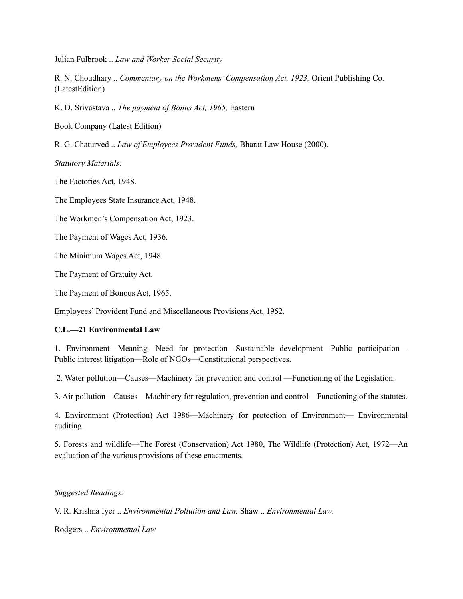Julian Fulbrook .. *Law and Worker Social Security*

R. N. Choudhary .. *Commentary on the Workmens' Compensation Act, 1923,* Orient Publishing Co. (LatestEdition)

K. D. Srivastava .. *The payment of Bonus Act, 1965,* Eastern

Book Company (Latest Edition)

R. G. Chaturved .. *Law of Employees Provident Funds,* Bharat Law House (2000).

*Statutory Materials:*

The Factories Act, 1948.

The Employees State Insurance Act, 1948.

The Workmen's Compensation Act, 1923.

The Payment of Wages Act, 1936.

The Minimum Wages Act, 1948.

The Payment of Gratuity Act.

The Payment of Bonous Act, 1965.

Employees' Provident Fund and Miscellaneous Provisions Act, 1952.

### **C.L.—21 Environmental Law**

1. Environment—Meaning—Need for protection—Sustainable development—Public participation— Public interest litigation—Role of NGOs—Constitutional perspectives.

2. Water pollution—Causes—Machinery for prevention and control —Functioning of the Legislation.

3. Air pollution—Causes—Machinery for regulation, prevention and control—Functioning of the statutes.

4. Environment (Protection) Act 1986—Machinery for protection of Environment— Environmental auditing.

5. Forests and wildlife—The Forest (Conservation) Act 1980, The Wildlife (Protection) Act, 1972—An evaluation of the various provisions of these enactments.

### *Suggested Readings:*

V. R. Krishna Iyer .. *Environmental Pollution and Law.* Shaw .. *Environmental Law.* 

Rodgers .. *Environmental Law.*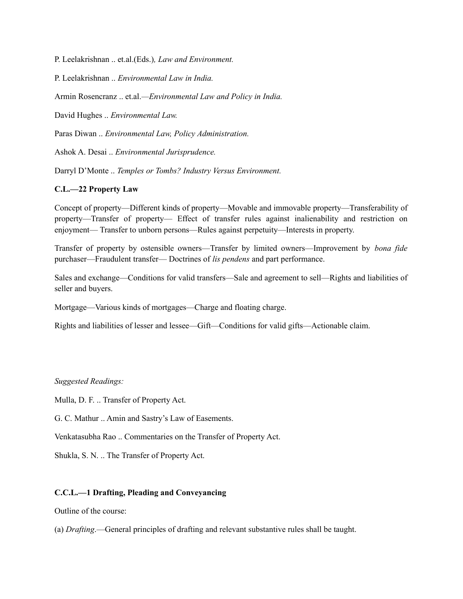P. Leelakrishnan .. et.al.(Eds.)*, Law and Environment.*

P. Leelakrishnan .. *Environmental Law in India.*

Armin Rosencranz .. et.al.*—Environmental Law and Policy in India.*

David Hughes .. *Environmental Law.*

Paras Diwan .. *Environmental Law, Policy Administration.*

Ashok A. Desai .. *Environmental Jurisprudence.*

Darryl D'Monte .. *Temples or Tombs? Industry Versus Environment.*

### **C.L.—22 Property Law**

Concept of property—Different kinds of property—Movable and immovable property—Transferability of property—Transfer of property— Effect of transfer rules against inalienability and restriction on enjoyment— Transfer to unborn persons—Rules against perpetuity—Interests in property.

Transfer of property by ostensible owners—Transfer by limited owners—Improvement by *bona fide* purchaser—Fraudulent transfer— Doctrines of *lis pendens* and part performance.

Sales and exchange—Conditions for valid transfers—Sale and agreement to sell—Rights and liabilities of seller and buyers.

Mortgage—Various kinds of mortgages—Charge and floating charge.

Rights and liabilities of lesser and lessee—Gift—Conditions for valid gifts—Actionable claim.

#### *Suggested Readings:*

Mulla, D. F. .. Transfer of Property Act.

G. C. Mathur .. Amin and Sastry's Law of Easements.

Venkatasubha Rao .. Commentaries on the Transfer of Property Act.

Shukla, S. N. .. The Transfer of Property Act.

#### **C.C.L.—1 Drafting, Pleading and Conveyancing**

Outline of the course:

(a) *Drafting*.—General principles of drafting and relevant substantive rules shall be taught.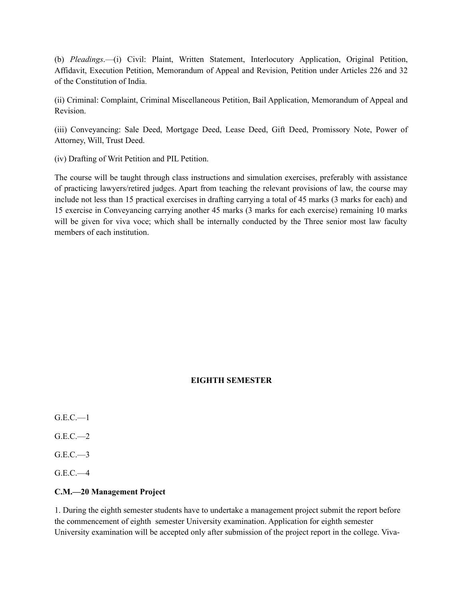(b) *Pleadings*.—(i) Civil: Plaint, Written Statement, Interlocutory Application, Original Petition, Affidavit, Execution Petition, Memorandum of Appeal and Revision, Petition under Articles 226 and 32 of the Constitution of India.

(ii) Criminal: Complaint, Criminal Miscellaneous Petition, Bail Application, Memorandum of Appeal and Revision.

(iii) Conveyancing: Sale Deed, Mortgage Deed, Lease Deed, Gift Deed, Promissory Note, Power of Attorney, Will, Trust Deed.

(iv) Drafting of Writ Petition and PIL Petition.

The course will be taught through class instructions and simulation exercises, preferably with assistance of practicing lawyers/retired judges. Apart from teaching the relevant provisions of law, the course may include not less than 15 practical exercises in drafting carrying a total of 45 marks (3 marks for each) and 15 exercise in Conveyancing carrying another 45 marks (3 marks for each exercise) remaining 10 marks will be given for viva voce; which shall be internally conducted by the Three senior most law faculty members of each institution.

# **EIGHTH SEMESTER**

- $G.E.C.$ —1
- G.E.C.—2
- $G.E.C. \rightarrowtail$
- $G.E.C.—4$

# **C.M.—20 Management Project**

1. During the eighth semester students have to undertake a management project submit the report before the commencement of eighth semester University examination. Application for eighth semester University examination will be accepted only after submission of the project report in the college. Viva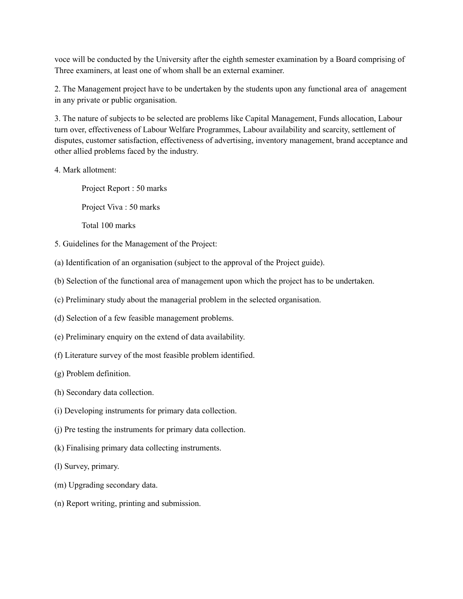voce will be conducted by the University after the eighth semester examination by a Board comprising of Three examiners, at least one of whom shall be an external examiner.

2. The Management project have to be undertaken by the students upon any functional area of anagement in any private or public organisation.

3. The nature of subjects to be selected are problems like Capital Management, Funds allocation, Labour turn over, effectiveness of Labour Welfare Programmes, Labour availability and scarcity, settlement of disputes, customer satisfaction, effectiveness of advertising, inventory management, brand acceptance and other allied problems faced by the industry.

4. Mark allotment:

Project Report : 50 marks

Project Viva : 50 marks

Total 100 marks

- 5. Guidelines for the Management of the Project:
- (a) Identification of an organisation (subject to the approval of the Project guide).
- (b) Selection of the functional area of management upon which the project has to be undertaken.
- (c) Preliminary study about the managerial problem in the selected organisation.
- (d) Selection of a few feasible management problems.
- (e) Preliminary enquiry on the extend of data availability.
- (f) Literature survey of the most feasible problem identified.
- (g) Problem definition.
- (h) Secondary data collection.
- (i) Developing instruments for primary data collection.
- (j) Pre testing the instruments for primary data collection.
- (k) Finalising primary data collecting instruments.
- (l) Survey, primary.
- (m) Upgrading secondary data.
- (n) Report writing, printing and submission.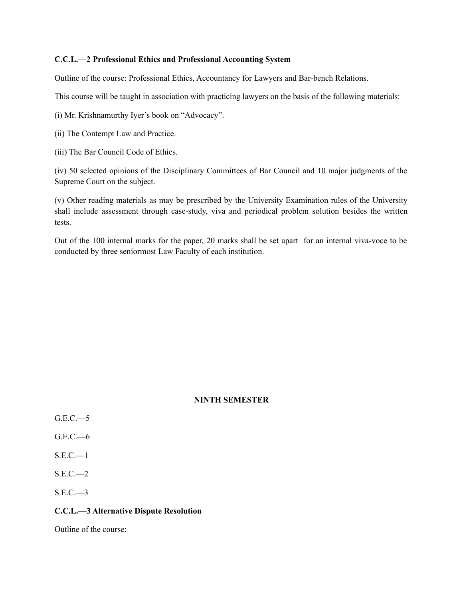### **C.C.L.—2 Professional Ethics and Professional Accounting System**

Outline of the course: Professional Ethics, Accountancy for Lawyers and Bar-bench Relations.

This course will be taught in association with practicing lawyers on the basis of the following materials:

(i) Mr. Krishnamurthy Iyer's book on "Advocacy".

- (ii) The Contempt Law and Practice.
- (iii) The Bar Council Code of Ethics.

(iv) 50 selected opinions of the Disciplinary Committees of Bar Council and 10 major judgments of the Supreme Court on the subject.

(v) Other reading materials as may be prescribed by the University Examination rules of the University shall include assessment through case-study, viva and periodical problem solution besides the written tests.

Out of the 100 internal marks for the paper, 20 marks shall be set apart for an internal viva-voce to be conducted by three seniormost Law Faculty of each institution.

#### **NINTH SEMESTER**

- $G.E.C.$ —5
- G.E.C.—6
- $S.E.C. \t—1$
- $S.E.C. \t— 2$
- $S.E.C. \rightarrowtail 3$

#### **C.C.L.—3 Alternative Dispute Resolution**

Outline of the course: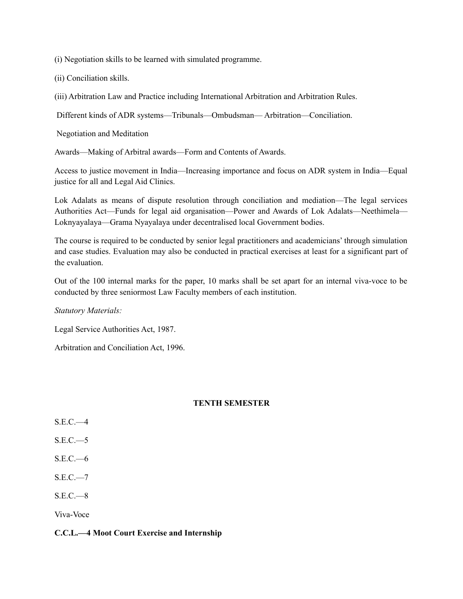(i) Negotiation skills to be learned with simulated programme.

(ii) Conciliation skills.

(iii) Arbitration Law and Practice including International Arbitration and Arbitration Rules.

Different kinds of ADR systems—Tribunals—Ombudsman— Arbitration—Conciliation.

Negotiation and Meditation

Awards—Making of Arbitral awards—Form and Contents of Awards.

Access to justice movement in India—Increasing importance and focus on ADR system in India—Equal justice for all and Legal Aid Clinics.

Lok Adalats as means of dispute resolution through conciliation and mediation—The legal services Authorities Act—Funds for legal aid organisation—Power and Awards of Lok Adalats—Neethimela— Loknyayalaya—Grama Nyayalaya under decentralised local Government bodies.

The course is required to be conducted by senior legal practitioners and academicians' through simulation and case studies. Evaluation may also be conducted in practical exercises at least for a significant part of the evaluation.

Out of the 100 internal marks for the paper, 10 marks shall be set apart for an internal viva-voce to be conducted by three seniormost Law Faculty members of each institution.

*Statutory Materials:*

Legal Service Authorities Act, 1987.

Arbitration and Conciliation Act, 1996.

# **TENTH SEMESTER**

- $S.E.C. \rightarrow 4$
- $S.E.C. \rightarrow 5$
- S.E.C.—6
- $S.E.C. 7$
- $S.E.C.—8$

Viva-Voce

### **C.C.L.—4 Moot Court Exercise and Internship**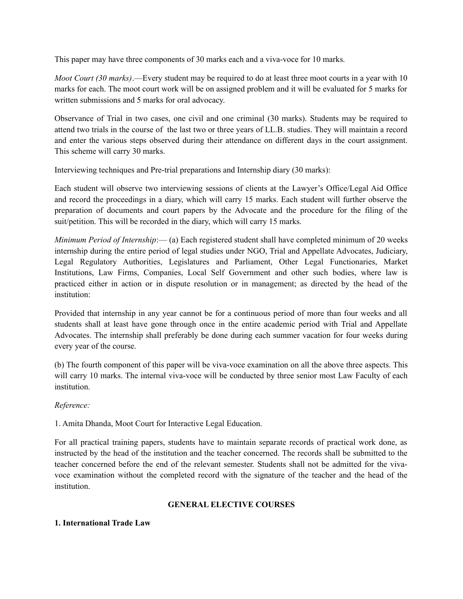This paper may have three components of 30 marks each and a viva-voce for 10 marks.

*Moot Court (30 marks)*.—Every student may be required to do at least three moot courts in a year with 10 marks for each. The moot court work will be on assigned problem and it will be evaluated for 5 marks for written submissions and 5 marks for oral advocacy.

Observance of Trial in two cases, one civil and one criminal (30 marks). Students may be required to attend two trials in the course of the last two or three years of LL.B. studies. They will maintain a record and enter the various steps observed during their attendance on different days in the court assignment. This scheme will carry 30 marks.

Interviewing techniques and Pre-trial preparations and Internship diary (30 marks):

Each student will observe two interviewing sessions of clients at the Lawyer's Office/Legal Aid Office and record the proceedings in a diary, which will carry 15 marks. Each student will further observe the preparation of documents and court papers by the Advocate and the procedure for the filing of the suit/petition. This will be recorded in the diary, which will carry 15 marks.

*Minimum Period of Internship*:— (a) Each registered student shall have completed minimum of 20 weeks internship during the entire period of legal studies under NGO, Trial and Appellate Advocates, Judiciary, Legal Regulatory Authorities, Legislatures and Parliament, Other Legal Functionaries, Market Institutions, Law Firms, Companies, Local Self Government and other such bodies, where law is practiced either in action or in dispute resolution or in management; as directed by the head of the institution:

Provided that internship in any year cannot be for a continuous period of more than four weeks and all students shall at least have gone through once in the entire academic period with Trial and Appellate Advocates. The internship shall preferably be done during each summer vacation for four weeks during every year of the course.

(b) The fourth component of this paper will be viva-voce examination on all the above three aspects. This will carry 10 marks. The internal viva-voce will be conducted by three senior most Law Faculty of each institution.

# *Reference:*

1. Amita Dhanda, Moot Court for Interactive Legal Education.

For all practical training papers, students have to maintain separate records of practical work done, as instructed by the head of the institution and the teacher concerned. The records shall be submitted to the teacher concerned before the end of the relevant semester. Students shall not be admitted for the vivavoce examination without the completed record with the signature of the teacher and the head of the institution.

### **GENERAL ELECTIVE COURSES**

### **1. International Trade Law**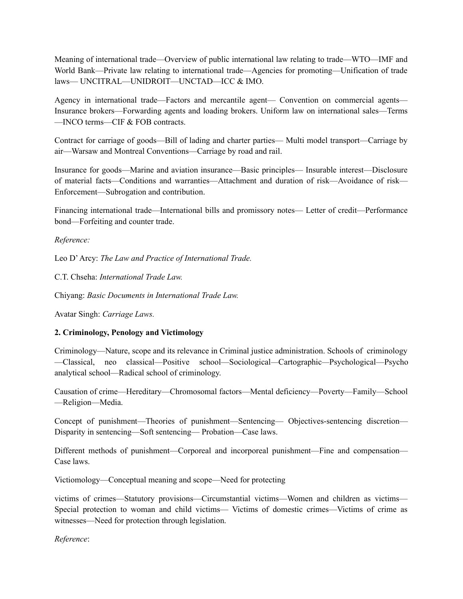Meaning of international trade—Overview of public international law relating to trade—WTO—IMF and World Bank—Private law relating to international trade—Agencies for promoting—Unification of trade laws— UNCITRAL—UNIDROIT—UNCTAD—ICC & IMO.

Agency in international trade—Factors and mercantile agent— Convention on commercial agents— Insurance brokers—Forwarding agents and loading brokers. Uniform law on international sales—Terms —INCO terms—CIF & FOB contracts.

Contract for carriage of goods—Bill of lading and charter parties— Multi model transport—Carriage by air—Warsaw and Montreal Conventions—Carriage by road and rail.

Insurance for goods—Marine and aviation insurance—Basic principles— Insurable interest—Disclosure of material facts—Conditions and warranties—Attachment and duration of risk—Avoidance of risk— Enforcement—Subrogation and contribution.

Financing international trade—International bills and promissory notes— Letter of credit—Performance bond—Forfeiting and counter trade.

# *Reference:*

Leo D' Arcy: *The Law and Practice of International Trade.*

C.T. Chseha: *International Trade Law.*

Chiyang: *Basic Documents in International Trade Law.*

Avatar Singh: *Carriage Laws.*

# **2. Criminology, Penology and Victimology**

Criminology—Nature, scope and its relevance in Criminal justice administration. Schools of criminology —Classical, neo classical—Positive school—Sociological*—*Cartographic*—*Psychological—Psycho analytical school—Radical school of criminology.

Causation of crime—Hereditary—Chromosomal factors—Mental deficiency—Poverty—Family—School —Religion—Media.

Concept of punishment—Theories of punishment—Sentencing— Objectives-sentencing discretion— Disparity in sentencing—Soft sentencing— Probation—Case laws.

Different methods of punishment—Corporeal and incorporeal punishment—Fine and compensation— Case laws.

Victiomology—Conceptual meaning and scope—Need for protecting

victims of crimes—Statutory provisions—Circumstantial victims—Women and children as victims— Special protection to woman and child victims— Victims of domestic crimes—Victims of crime as witnesses—Need for protection through legislation.

*Reference*: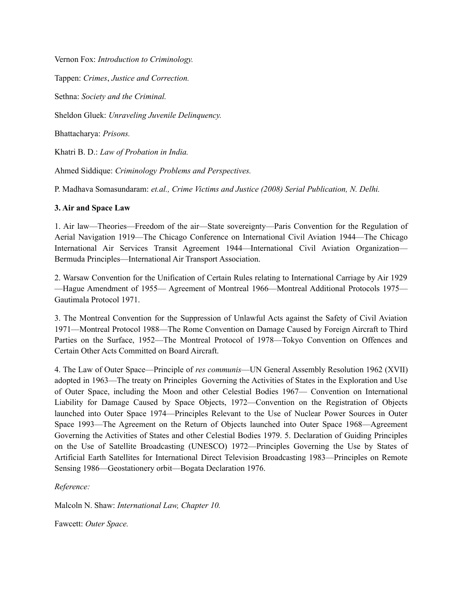Vernon Fox: *Introduction to Criminology.*

Tappen: *Crimes*, *Justice and Correction.*

Sethna: *Society and the Criminal.*

Sheldon Gluek: *Unraveling Juvenile Delinquency.*

Bhattacharya: *Prisons.*

Khatri B. D.: *Law of Probation in India.*

Ahmed Siddique: *Criminology Problems and Perspectives.*

P. Madhava Somasundaram: *et.al., Crime Victims and Justice (2008) Serial Publication, N. Delhi.*

# **3. Air and Space Law**

1. Air law—Theories—Freedom of the air—State sovereignty—Paris Convention for the Regulation of Aerial Navigation 1919—The Chicago Conference on International Civil Aviation 1944—The Chicago International Air Services Transit Agreement 1944—International Civil Aviation Organization— Bermuda Principles—International Air Transport Association.

2. Warsaw Convention for the Unification of Certain Rules relating to International Carriage by Air 1929 —Hague Amendment of 1955— Agreement of Montreal 1966—Montreal Additional Protocols 1975— Gautimala Protocol 1971.

3. The Montreal Convention for the Suppression of Unlawful Acts against the Safety of Civil Aviation 1971—Montreal Protocol 1988—The Rome Convention on Damage Caused by Foreign Aircraft to Third Parties on the Surface, 1952—The Montreal Protocol of 1978—Tokyo Convention on Offences and Certain Other Acts Committed on Board Aircraft.

4. The Law of Outer Space—Principle of *res communis*—UN General Assembly Resolution 1962 (XVII) adopted in 1963—The treaty on Principles Governing the Activities of States in the Exploration and Use of Outer Space, including the Moon and other Celestial Bodies 1967— Convention on International Liability for Damage Caused by Space Objects, 1972—Convention on the Registration of Objects launched into Outer Space 1974—Principles Relevant to the Use of Nuclear Power Sources in Outer Space 1993—The Agreement on the Return of Objects launched into Outer Space 1968—Agreement Governing the Activities of States and other Celestial Bodies 1979. 5. Declaration of Guiding Principles on the Use of Satellite Broadcasting (UNESCO) 1972—Principles Governing the Use by States of Artificial Earth Satellites for International Direct Television Broadcasting 1983—Principles on Remote Sensing 1986—Geostationery orbit—Bogata Declaration 1976.

*Reference:*

Malcoln N. Shaw: *International Law, Chapter 10.*

Fawcett: *Outer Space.*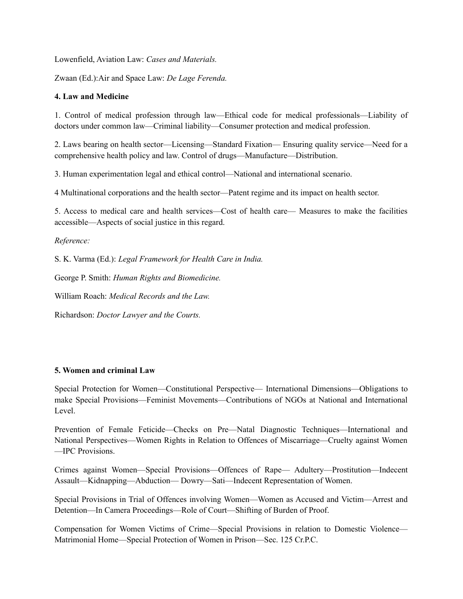Lowenfield, Aviation Law: *Cases and Materials.*

Zwaan (Ed.):Air and Space Law: *De Lage Ferenda.*

# **4. Law and Medicine**

1. Control of medical profession through law—Ethical code for medical professionals—Liability of doctors under common law—Criminal liability—Consumer protection and medical profession.

2. Laws bearing on health sector—Licensing—Standard Fixation— Ensuring quality service—Need for a comprehensive health policy and law. Control of drugs—Manufacture—Distribution.

3. Human experimentation legal and ethical control—National and international scenario.

4 Multinational corporations and the health sector—Patent regime and its impact on health sector.

5. Access to medical care and health services—Cost of health care— Measures to make the facilities accessible—Aspects of social justice in this regard.

# *Reference:*

S. K. Varma (Ed.): *Legal Framework for Health Care in India.*

George P. Smith: *Human Rights and Biomedicine.*

William Roach: *Medical Records and the Law.*

Richardson: *Doctor Lawyer and the Courts.*

### **5. Women and criminal Law**

Special Protection for Women—Constitutional Perspective— International Dimensions—Obligations to make Special Provisions—Feminist Movements—Contributions of NGOs at National and International Level.

Prevention of Female Feticide—Checks on Pre—Natal Diagnostic Techniques—International and National Perspectives—Women Rights in Relation to Offences of Miscarriage—Cruelty against Women —IPC Provisions.

Crimes against Women—Special Provisions—Offences of Rape— Adultery—Prostitution—Indecent Assault—Kidnapping—Abduction— Dowry—Sati—Indecent Representation of Women.

Special Provisions in Trial of Offences involving Women—Women as Accused and Victim—Arrest and Detention—In Camera Proceedings—Role of Court—Shifting of Burden of Proof.

Compensation for Women Victims of Crime—Special Provisions in relation to Domestic Violence— Matrimonial Home—Special Protection of Women in Prison—Sec. 125 Cr.P.C.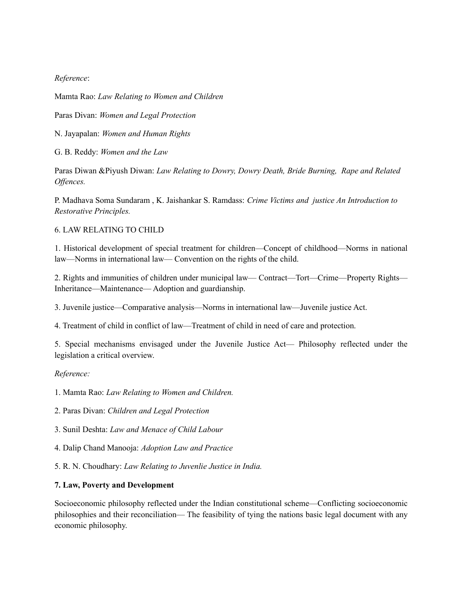*Reference*:

Mamta Rao: *Law Relating to Women and Children*

Paras Divan: *Women and Legal Protection*

N. Jayapalan: *Women and Human Rights*

G. B. Reddy: *Women and the Law*

Paras Diwan &Piyush Diwan: *Law Relating to Dowry, Dowry Death, Bride Burning, Rape and Related Offences.*

P. Madhava Soma Sundaram , K. Jaishankar S. Ramdass: *Crime Victims and justice An Introduction to Restorative Principles.*

### 6. LAW RELATING TO CHILD

1. Historical development of special treatment for children—Concept of childhood—Norms in national law—Norms in international law— Convention on the rights of the child.

2. Rights and immunities of children under municipal law— Contract—Tort—Crime—Property Rights— Inheritance—Maintenance— Adoption and guardianship.

3. Juvenile justice—Comparative analysis—Norms in international law—Juvenile justice Act.

4. Treatment of child in conflict of law—Treatment of child in need of care and protection.

5. Special mechanisms envisaged under the Juvenile Justice Act— Philosophy reflected under the legislation a critical overview.

### *Reference:*

1. Mamta Rao: *Law Relating to Women and Children.*

- 2. Paras Divan: *Children and Legal Protection*
- 3. Sunil Deshta: *Law and Menace of Child Labour*
- 4. Dalip Chand Manooja: *Adoption Law and Practice*
- 5. R. N. Choudhary: *Law Relating to Juvenlie Justice in India.*

# **7. Law, Poverty and Development**

Socioeconomic philosophy reflected under the Indian constitutional scheme—Conflicting socioeconomic philosophies and their reconciliation— The feasibility of tying the nations basic legal document with any economic philosophy.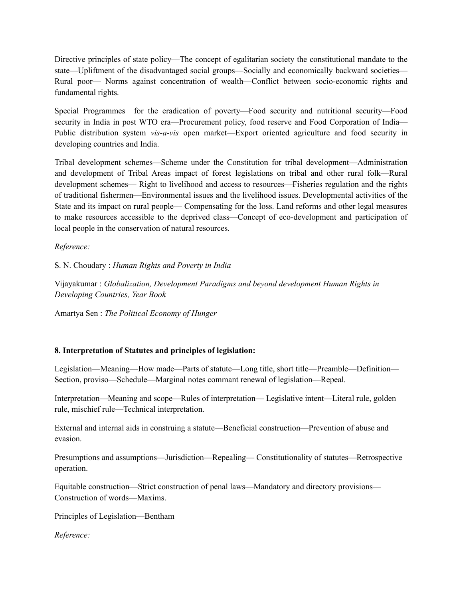Directive principles of state policy—The concept of egalitarian society the constitutional mandate to the state—Upliftment of the disadvantaged social groups—Socially and economically backward societies— Rural poor— Norms against concentration of wealth—Conflict between socio-economic rights and fundamental rights.

Special Programmes for the eradication of poverty—Food security and nutritional security—Food security in India in post WTO era—Procurement policy, food reserve and Food Corporation of India— Public distribution system *vis-a-vis* open market—Export oriented agriculture and food security in developing countries and India.

Tribal development schemes—Scheme under the Constitution for tribal development—Administration and development of Tribal Areas impact of forest legislations on tribal and other rural folk—Rural development schemes— Right to livelihood and access to resources—Fisheries regulation and the rights of traditional fishermen—Environmental issues and the livelihood issues. Developmental activities of the State and its impact on rural people— Compensating for the loss. Land reforms and other legal measures to make resources accessible to the deprived class—Concept of eco-development and participation of local people in the conservation of natural resources.

*Reference:*

S. N. Choudary : *Human Rights and Poverty in India*

Vijayakumar : *Globalization, Development Paradigms and beyond development Human Rights in Developing Countries, Year Book*

Amartya Sen : *The Political Economy of Hunger*

# **8. Interpretation of Statutes and principles of legislation:**

Legislation—Meaning—How made—Parts of statute—Long title, short title—Preamble—Definition— Section, proviso—Schedule—Marginal notes commant renewal of legislation—Repeal.

Interpretation—Meaning and scope—Rules of interpretation— Legislative intent—Literal rule, golden rule, mischief rule—Technical interpretation.

External and internal aids in construing a statute—Beneficial construction—Prevention of abuse and evasion.

Presumptions and assumptions—Jurisdiction—Repealing— Constitutionality of statutes—Retrospective operation.

Equitable construction—Strict construction of penal laws—Mandatory and directory provisions— Construction of words—Maxims.

Principles of Legislation—Bentham

*Reference:*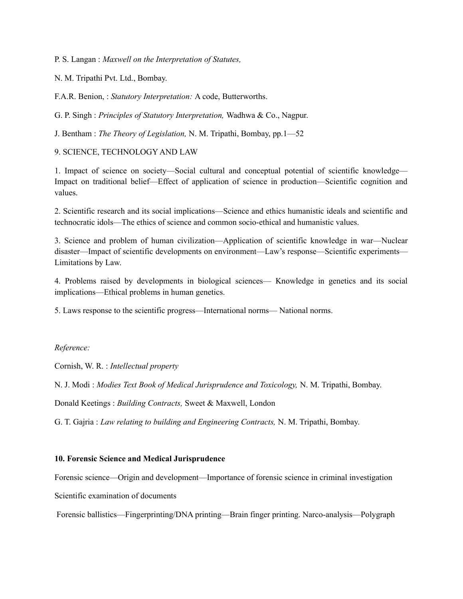P. S. Langan : *Maxwell on the Interpretation of Statutes,*

N. M. Tripathi Pvt. Ltd., Bombay.

F.A.R. Benion, : *Statutory Interpretation:* A code, Butterworths.

G. P. Singh : *Principles of Statutory Interpretation,* Wadhwa & Co., Nagpur.

J. Bentham : *The Theory of Legislation,* N. M. Tripathi, Bombay, pp.1—52

9. SCIENCE, TECHNOLOGY AND LAW

1. Impact of science on society—Social cultural and conceptual potential of scientific knowledge— Impact on traditional belief—Effect of application of science in production—Scientific cognition and values.

2. Scientific research and its social implications—Science and ethics humanistic ideals and scientific and technocratic idols—The ethics of science and common socio-ethical and humanistic values.

3. Science and problem of human civilization—Application of scientific knowledge in war—Nuclear disaster—Impact of scientific developments on environment—Law's response—Scientific experiments— Limitations by Law.

4. Problems raised by developments in biological sciences— Knowledge in genetics and its social implications—Ethical problems in human genetics.

5. Laws response to the scientific progress—International norms— National norms.

*Reference:*

Cornish, W. R. : *Intellectual property*

N. J. Modi : *Modies Text Book of Medical Jurisprudence and Toxicology,* N. M. Tripathi, Bombay.

Donald Keetings : *Building Contracts,* Sweet & Maxwell, London

G. T. Gajria : *Law relating to building and Engineering Contracts,* N. M. Tripathi, Bombay.

#### **10. Forensic Science and Medical Jurisprudence**

Forensic science—Origin and development—Importance of forensic science in criminal investigation

Scientific examination of documents

Forensic ballistics—Fingerprinting/DNA printing—Brain finger printing. Narco-analysis—Polygraph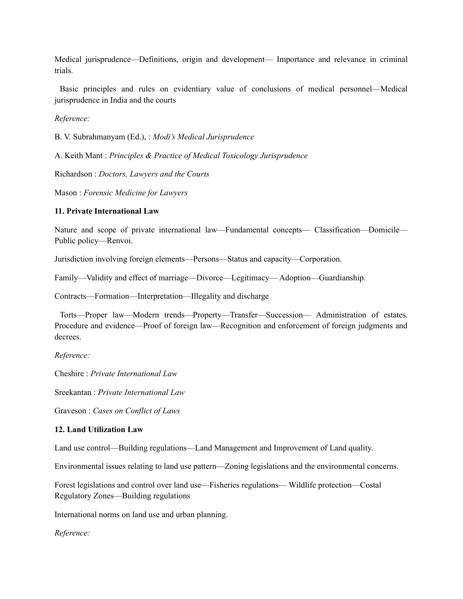Medical jurisprudence—Definitions, origin and development— Importance and relevance in criminal trials.

Basic principles and rules on evidentiary value of conclusions of medical personnel—Medical jurisprudence in India and the courts

*Reference:*

B. V. Subrahmanyam (Ed.), : *Modi's Medical Jurisprudence*

A. Keith Mant : *Principles & Practice of Medical Toxicology Jurisprudence*

Richardson : *Doctors, Lawyers and the Courts*

Mason : *Forensic Medicine for Lawyers*

#### **11. Private International Law**

Nature and scope of private international law—Fundamental concepts— Classification—Domicile— Public policy—Renvoi.

Jurisdiction involving foreign elements—Persons—Status and capacity—Corporation.

Family—Validity and effect of marriage—Divorce—Legitimacy— Adoption—Guardianship.

Contracts—Formation—Interpretation—Illegality and discharge

Torts—Proper law—Modern trends—Property—Transfer—Succession— Administration of estates. Procedure and evidence—Proof of foreign law—Recognition and enforcement of foreign judgments and decrees.

*Reference:*

Cheshire : *Private International Law*

Sreekantan : *Private International Law*

Graveson : *Cases on Conflict of Laws*

### **12. Land Utilization Law**

Land use control—Building regulations—Land Management and Improvement of Land quality.

Environmental issues relating to land use pattern—Zoning legislations and the environmental concerns.

Forest legislations and control over land use—Fisheries regulations— Wildlife protection—Costal Regulatory Zones—Building regulations

International norms on land use and urban planning.

*Reference:*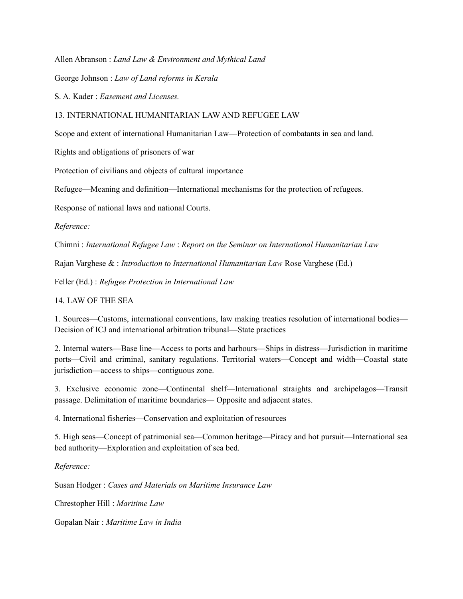Allen Abranson : *Land Law & Environment and Mythical Land*

George Johnson : *Law of Land reforms in Kerala*

S. A. Kader : *Easement and Licenses.*

#### 13. INTERNATIONAL HUMANITARIAN LAW AND REFUGEE LAW

Scope and extent of international Humanitarian Law—Protection of combatants in sea and land.

Rights and obligations of prisoners of war

Protection of civilians and objects of cultural importance

Refugee—Meaning and definition—International mechanisms for the protection of refugees.

Response of national laws and national Courts.

*Reference:*

Chimni : *International Refugee Law* : *Report on the Seminar on International Humanitarian Law*

Rajan Varghese & : *Introduction to International Humanitarian Law* Rose Varghese (Ed.)

Feller (Ed.) : *Refugee Protection in International Law* 

14. LAW OF THE SEA

1. Sources—Customs, international conventions, law making treaties resolution of international bodies— Decision of ICJ and international arbitration tribunal—State practices

2. Internal waters—Base line—Access to ports and harbours—Ships in distress—Jurisdiction in maritime ports—Civil and criminal, sanitary regulations. Territorial waters—Concept and width—Coastal state jurisdiction—access to ships—contiguous zone.

3. Exclusive economic zone—Continental shelf—International straights and archipelagos—Transit passage. Delimitation of maritime boundaries— Opposite and adjacent states.

4. International fisheries—Conservation and exploitation of resources

5. High seas—Concept of patrimonial sea—Common heritage—Piracy and hot pursuit—International sea bed authority—Exploration and exploitation of sea bed.

*Reference:*

Susan Hodger : *Cases and Materials on Maritime Insurance Law*

Chrestopher Hill : *Maritime Law*

Gopalan Nair : *Maritime Law in India*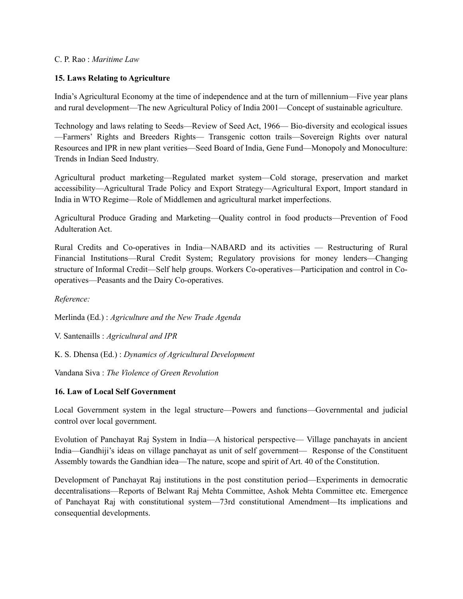### C. P. Rao : *Maritime Law*

# **15. Laws Relating to Agriculture**

India's Agricultural Economy at the time of independence and at the turn of millennium—Five year plans and rural development—The new Agricultural Policy of India 2001—Concept of sustainable agriculture.

Technology and laws relating to Seeds—Review of Seed Act, 1966— Bio-diversity and ecological issues —Farmers' Rights and Breeders Rights— Transgenic cotton trails—Sovereign Rights over natural Resources and IPR in new plant verities—Seed Board of India, Gene Fund—Monopoly and Monoculture: Trends in Indian Seed Industry.

Agricultural product marketing—Regulated market system—Cold storage, preservation and market accessibility—Agricultural Trade Policy and Export Strategy—Agricultural Export, Import standard in India in WTO Regime—Role of Middlemen and agricultural market imperfections.

Agricultural Produce Grading and Marketing—Quality control in food products—Prevention of Food Adulteration Act.

Rural Credits and Co-operatives in India—NABARD and its activities — Restructuring of Rural Financial Institutions—Rural Credit System; Regulatory provisions for money lenders—Changing structure of Informal Credit—Self help groups. Workers Co-operatives—Participation and control in Cooperatives—Peasants and the Dairy Co-operatives.

*Reference:*

Merlinda (Ed.) : *Agriculture and the New Trade Agenda*

V. Santenaills : *Agricultural and IPR*

K. S. Dhensa (Ed.) : *Dynamics of Agricultural Development*

Vandana Siva : *The Violence of Green Revolution*

### **16. Law of Local Self Government**

Local Government system in the legal structure—Powers and functions—Governmental and judicial control over local government.

Evolution of Panchayat Raj System in India—A historical perspective— Village panchayats in ancient India—Gandhiji's ideas on village panchayat as unit of self government— Response of the Constituent Assembly towards the Gandhian idea—The nature, scope and spirit of Art. 40 of the Constitution.

Development of Panchayat Raj institutions in the post constitution period—Experiments in democratic decentralisations—Reports of Belwant Raj Mehta Committee, Ashok Mehta Committee etc. Emergence of Panchayat Raj with constitutional system—73rd constitutional Amendment—Its implications and consequential developments.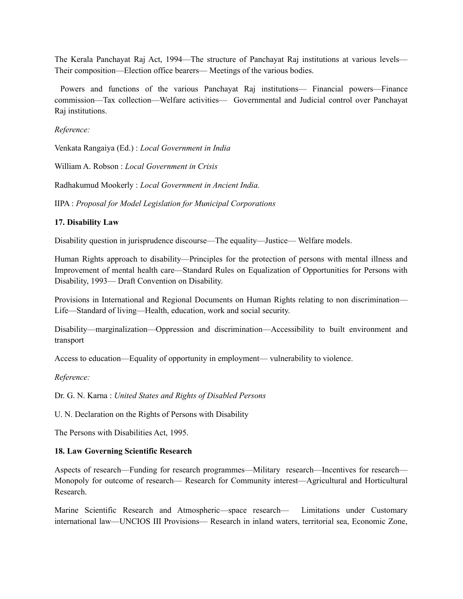The Kerala Panchayat Raj Act, 1994—The structure of Panchayat Raj institutions at various levels— Their composition—Election office bearers— Meetings of the various bodies.

Powers and functions of the various Panchayat Raj institutions— Financial powers—Finance commission—Tax collection—Welfare activities— Governmental and Judicial control over Panchayat Raj institutions.

# *Reference:*

Venkata Rangaiya (Ed.) : *Local Government in India*

William A. Robson : *Local Government in Crisis*

Radhakumud Mookerly : *Local Government in Ancient India.*

IIPA : *Proposal for Model Legislation for Municipal Corporations*

# **17. Disability Law**

Disability question in jurisprudence discourse—The equality—Justice— Welfare models.

Human Rights approach to disability—Principles for the protection of persons with mental illness and Improvement of mental health care—Standard Rules on Equalization of Opportunities for Persons with Disability, 1993— Draft Convention on Disability.

Provisions in International and Regional Documents on Human Rights relating to non discrimination— Life—Standard of living—Health, education, work and social security.

Disability—marginalization—Oppression and discrimination—Accessibility to built environment and transport

Access to education—Equality of opportunity in employment— vulnerability to violence.

### *Reference:*

Dr. G. N. Karna : *United States and Rights of Disabled Persons*

U. N. Declaration on the Rights of Persons with Disability

The Persons with Disabilities Act, 1995.

### **18. Law Governing Scientific Research**

Aspects of research—Funding for research programmes—Military research—Incentives for research— Monopoly for outcome of research— Research for Community interest—Agricultural and Horticultural Research.

Marine Scientific Research and Atmospheric—space research— Limitations under Customary international law—UNCIOS III Provisions— Research in inland waters, territorial sea, Economic Zone,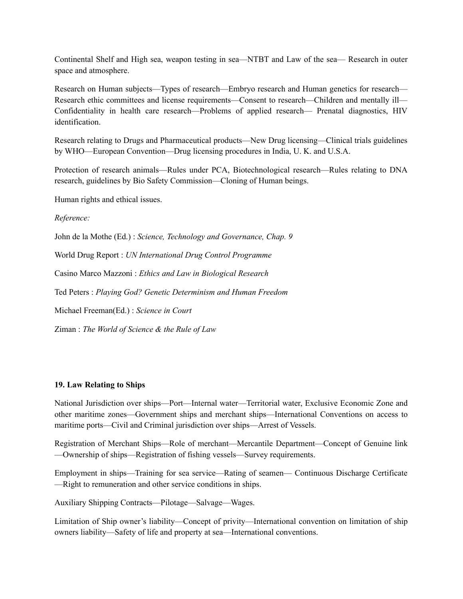Continental Shelf and High sea, weapon testing in sea—NTBT and Law of the sea— Research in outer space and atmosphere.

Research on Human subjects—Types of research—Embryo research and Human genetics for research— Research ethic committees and license requirements—Consent to research—Children and mentally ill— Confidentiality in health care research—Problems of applied research— Prenatal diagnostics, HIV identification.

Research relating to Drugs and Pharmaceutical products—New Drug licensing—Clinical trials guidelines by WHO—European Convention—Drug licensing procedures in India, U. K. and U.S.A.

Protection of research animals—Rules under PCA, Biotechnological research—Rules relating to DNA research, guidelines by Bio Safety Commission—Cloning of Human beings.

Human rights and ethical issues.

*Reference:*

John de la Mothe (Ed.) : *Science, Technology and Governance, Chap. 9*

World Drug Report : *UN International Drug Control Programme*

Casino Marco Mazzoni : *Ethics and Law in Biological Research*

Ted Peters : *Playing God? Genetic Determinism and Human Freedom*

Michael Freeman(Ed.) : *Science in Court*

Ziman : *The World of Science & the Rule of Law*

### **19. Law Relating to Ships**

National Jurisdiction over ships—Port—Internal water—Territorial water, Exclusive Economic Zone and other maritime zones—Government ships and merchant ships—International Conventions on access to maritime ports—Civil and Criminal jurisdiction over ships—Arrest of Vessels.

Registration of Merchant Ships—Role of merchant—Mercantile Department—Concept of Genuine link —Ownership of ships—Registration of fishing vessels—Survey requirements.

Employment in ships—Training for sea service—Rating of seamen— Continuous Discharge Certificate —Right to remuneration and other service conditions in ships.

Auxiliary Shipping Contracts—Pilotage—Salvage—Wages.

Limitation of Ship owner's liability—Concept of privity—International convention on limitation of ship owners liability—Safety of life and property at sea—International conventions.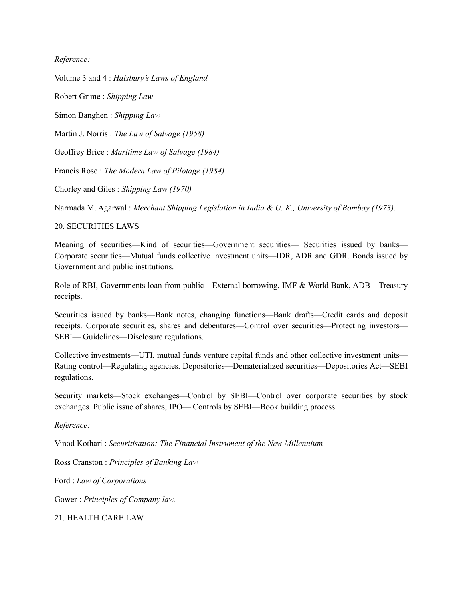### *Reference:*

Volume 3 and 4 : *Halsbury's Laws of England*

Robert Grime : *Shipping Law*

Simon Banghen : *Shipping Law*

Martin J. Norris : *The Law of Salvage (1958)*

Geoffrey Brice : *Maritime Law of Salvage (1984)*

Francis Rose : *The Modern Law of Pilotage (1984)*

Chorley and Giles : *Shipping Law (1970)*

Narmada M. Agarwal : *Merchant Shipping Legislation in India & U. K., University of Bombay (1973).*

#### 20. SECURITIES LAWS

Meaning of securities—Kind of securities—Government securities— Securities issued by banks— Corporate securities—Mutual funds collective investment units—IDR, ADR and GDR. Bonds issued by Government and public institutions.

Role of RBI, Governments loan from public—External borrowing, IMF & World Bank, ADB—Treasury receipts.

Securities issued by banks—Bank notes, changing functions—Bank drafts—Credit cards and deposit receipts. Corporate securities, shares and debentures—Control over securities—Protecting investors— SEBI— Guidelines—Disclosure regulations.

Collective investments—UTI, mutual funds venture capital funds and other collective investment units— Rating control—Regulating agencies. Depositories—Dematerialized securities—Depositories Act—SEBI regulations.

Security markets—Stock exchanges—Control by SEBI—Control over corporate securities by stock exchanges. Public issue of shares, IPO— Controls by SEBI—Book building process.

*Reference:*

Vinod Kothari : *Securitisation: The Financial Instrument of the New Millennium*

Ross Cranston : *Principles of Banking Law*

Ford : *Law of Corporations*

Gower : *Principles of Company law.*

21. HEALTH CARE LAW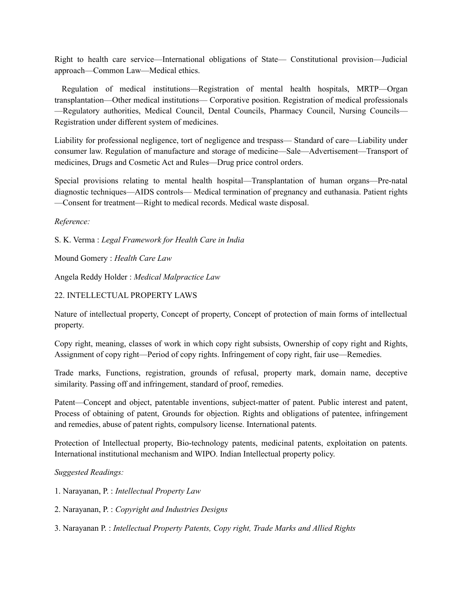Right to health care service—International obligations of State— Constitutional provision—Judicial approach—Common Law—Medical ethics.

Regulation of medical institutions—Registration of mental health hospitals, MRTP—Organ transplantation—Other medical institutions— Corporative position. Registration of medical professionals —Regulatory authorities, Medical Council, Dental Councils, Pharmacy Council, Nursing Councils— Registration under different system of medicines.

Liability for professional negligence, tort of negligence and trespass— Standard of care—Liability under consumer law. Regulation of manufacture and storage of medicine—Sale—Advertisement—Transport of medicines, Drugs and Cosmetic Act and Rules—Drug price control orders.

Special provisions relating to mental health hospital—Transplantation of human organs—Pre-natal diagnostic techniques—AIDS controls— Medical termination of pregnancy and euthanasia. Patient rights —Consent for treatment—Right to medical records. Medical waste disposal.

# *Reference:*

S. K. Verma : *Legal Framework for Health Care in India*

Mound Gomery : *Health Care Law*

Angela Reddy Holder : *Medical Malpractice Law*

# 22. INTELLECTUAL PROPERTY LAWS

Nature of intellectual property, Concept of property, Concept of protection of main forms of intellectual property.

Copy right, meaning, classes of work in which copy right subsists, Ownership of copy right and Rights, Assignment of copy right—Period of copy rights. Infringement of copy right, fair use—Remedies.

Trade marks, Functions, registration, grounds of refusal, property mark, domain name, deceptive similarity. Passing off and infringement, standard of proof, remedies.

Patent—Concept and object, patentable inventions, subject-matter of patent. Public interest and patent, Process of obtaining of patent, Grounds for objection. Rights and obligations of patentee, infringement and remedies, abuse of patent rights, compulsory license. International patents.

Protection of Intellectual property, Bio-technology patents, medicinal patents, exploitation on patents. International institutional mechanism and WIPO. Indian Intellectual property policy.

# *Suggested Readings:*

- 1. Narayanan, P. : *Intellectual Property Law*
- 2. Narayanan, P. : *Copyright and Industries Designs*
- 3. Narayanan P. : *Intellectual Property Patents, Copy right, Trade Marks and Allied Rights*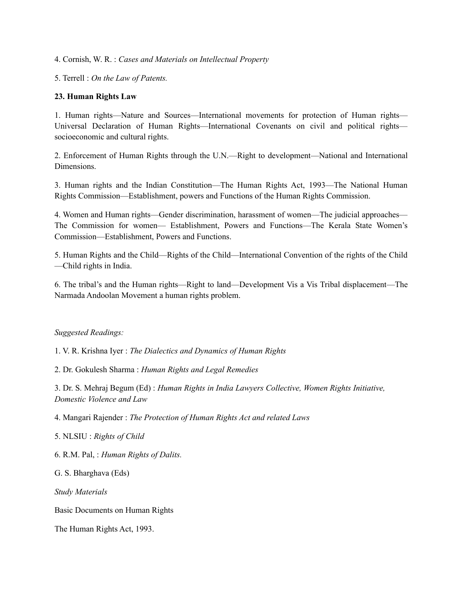4. Cornish, W. R. : *Cases and Materials on Intellectual Property*

5. Terrell : *On the Law of Patents.*

#### **23. Human Rights Law**

1. Human rights—Nature and Sources—International movements for protection of Human rights— Universal Declaration of Human Rights—International Covenants on civil and political rights socioeconomic and cultural rights.

2. Enforcement of Human Rights through the U.N.—Right to development—National and International Dimensions.

3. Human rights and the Indian Constitution—The Human Rights Act, 1993—The National Human Rights Commission—Establishment, powers and Functions of the Human Rights Commission.

4. Women and Human rights—Gender discrimination, harassment of women—The judicial approaches— The Commission for women— Establishment, Powers and Functions—The Kerala State Women's Commission—Establishment, Powers and Functions.

5. Human Rights and the Child—Rights of the Child—International Convention of the rights of the Child —Child rights in India.

6. The tribal's and the Human rights—Right to land—Development Vis a Vis Tribal displacement—The Narmada Andoolan Movement a human rights problem.

#### *Suggested Readings:*

1. V. R. Krishna Iyer : *The Dialectics and Dynamics of Human Rights*

2. Dr. Gokulesh Sharma : *Human Rights and Legal Remedies*

3. Dr. S. Mehraj Begum (Ed) : *Human Rights in India Lawyers Collective, Women Rights Initiative, Domestic Violence and Law*

4. Mangari Rajender : *The Protection of Human Rights Act and related Laws*

5. NLSIU : *Rights of Child*

6. R.M. Pal, : *Human Rights of Dalits.*

G. S. Bharghava (Eds)

*Study Materials*

Basic Documents on Human Rights

The Human Rights Act, 1993.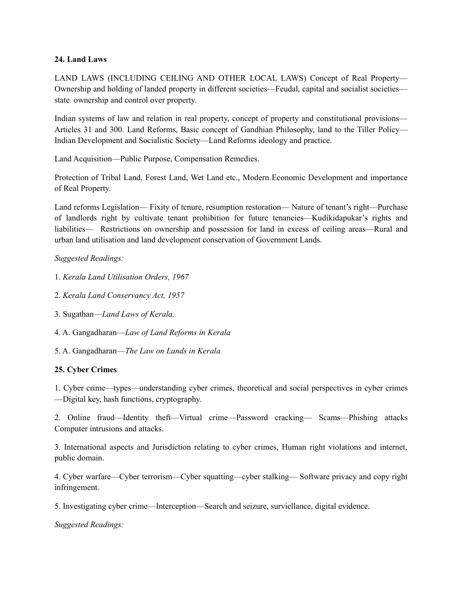### **24. Land Laws**

LAND LAWS (INCLUDING CEILING AND OTHER LOCAL LAWS) Concept of Real Property— Ownership and holding of landed property in different societies—Feudal, capital and socialist societies state ownership and control over property.

Indian systems of law and relation in real property, concept of property and constitutional provisions— Articles 31 and 300. Land Reforms, Basic concept of Gandhian Philosophy, land to the Tiller Policy— Indian Development and Socialistic Society—Land Reforms ideology and practice.

Land Acquisition—Public Purpose, Compensation Remedies.

Protection of Tribal Land, Forest Land, Wet Land etc., Modern Economic Development and importance of Real Property.

Land reforms Legislation— Fixity of tenure, resumption restoration— Nature of tenant's right—Purchase of landlords right by cultivate tenant prohibition for future tenancies—Kudikidapukar's rights and liabilities— Restrictions on ownership and possession for land in excess of ceiling areas—Rural and urban land utilisation and land development conservation of Government Lands.

# *Suggested Readings:*

- 1. *Kerala Land Utilisation Orders, 1967*
- 2. *Kerala Land Conservancy Act, 1957*
- 3. Sugathan—*Land Laws of Kerala.*
- 4. A. Gangadharan—*Law of Land Reforms in Kerala*
- 5. A. Gangadharan—*The Law on Lands in Kerala*

# **25. Cyber Crimes**

1. Cyber crime—types—understanding cyber crimes, theoretical and social perspectives in cyber crimes —Digital key, hash functions, cryptography.

2. Online fraud—Identity theft—Virtual crime—Password cracking— Scams—Phishing attacks Computer intrusions and attacks.

3. International aspects and Jurisdiction relating to cyber crimes, Human right violations and internet, public domain.

4. Cyber warfare—Cyber terrorism—Cyber squatting—cyber stalking— Software privacy and copy right infringement.

5. Investigating cyber crime—Interception—Search and seizure, surviellance, digital evidence.

*Suggested Readings:*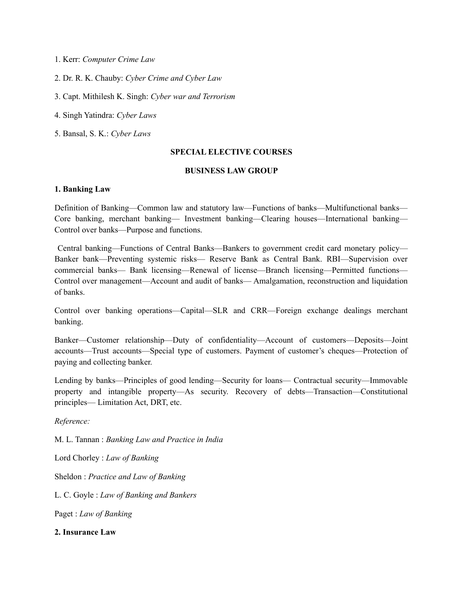- 1. Kerr: *Computer Crime Law*
- 2. Dr. R. K. Chauby: *Cyber Crime and Cyber Law*
- 3. Capt. Mithilesh K. Singh: *Cyber war and Terrorism*
- 4. Singh Yatindra: *Cyber Laws*
- 5. Bansal, S. K.: *Cyber Laws*

### **SPECIAL ELECTIVE COURSES**

#### **BUSINESS LAW GROUP**

#### **1. Banking Law**

Definition of Banking—Common law and statutory law—Functions of banks—Multifunctional banks— Core banking, merchant banking— Investment banking—Clearing houses—International banking— Control over banks—Purpose and functions.

Central banking—Functions of Central Banks—Bankers to government credit card monetary policy— Banker bank—Preventing systemic risks— Reserve Bank as Central Bank. RBI—Supervision over commercial banks— Bank licensing—Renewal of license—Branch licensing—Permitted functions— Control over management—Account and audit of banks— Amalgamation, reconstruction and liquidation of banks.

Control over banking operations—Capital—SLR and CRR—Foreign exchange dealings merchant banking.

Banker—Customer relationship—Duty of confidentiality—Account of customers—Deposits—Joint accounts—Trust accounts—Special type of customers. Payment of customer's cheques—Protection of paying and collecting banker.

Lending by banks—Principles of good lending—Security for loans— Contractual security—Immovable property and intangible property—As security. Recovery of debts—Transaction—Constitutional principles— Limitation Act, DRT, etc.

*Reference:*

M. L. Tannan : *Banking Law and Practice in India*

Lord Chorley : *Law of Banking*

Sheldon : *Practice and Law of Banking*

L. C. Goyle : *Law of Banking and Bankers*

Paget : *Law of Banking*

**2. Insurance Law**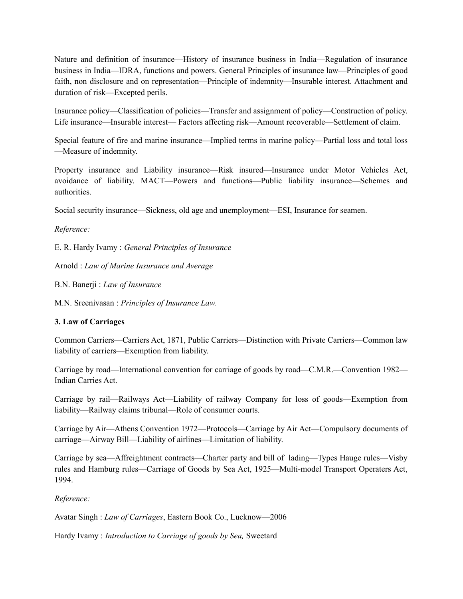Nature and definition of insurance—History of insurance business in India—Regulation of insurance business in India—IDRA, functions and powers. General Principles of insurance law—Principles of good faith, non disclosure and on representation—Principle of indemnity—Insurable interest. Attachment and duration of risk—Excepted perils.

Insurance policy—Classification of policies—Transfer and assignment of policy—Construction of policy. Life insurance—Insurable interest— Factors affecting risk—Amount recoverable—Settlement of claim.

Special feature of fire and marine insurance—Implied terms in marine policy—Partial loss and total loss —Measure of indemnity.

Property insurance and Liability insurance—Risk insured—Insurance under Motor Vehicles Act, avoidance of liability. MACT—Powers and functions—Public liability insurance—Schemes and authorities.

Social security insurance—Sickness, old age and unemployment—ESI, Insurance for seamen.

*Reference:*

E. R. Hardy Ivamy : *General Principles of Insurance*

Arnold : *Law of Marine Insurance and Average*

B.N. Banerji : *Law of Insurance*

M.N. Sreenivasan : *Principles of Insurance Law.*

# **3. Law of Carriages**

Common Carriers—Carriers Act, 1871, Public Carriers—Distinction with Private Carriers—Common law liability of carriers—Exemption from liability.

Carriage by road—International convention for carriage of goods by road—C.M.R.—Convention 1982— Indian Carries Act.

Carriage by rail—Railways Act—Liability of railway Company for loss of goods—Exemption from liability—Railway claims tribunal—Role of consumer courts.

Carriage by Air—Athens Convention 1972—Protocols—Carriage by Air Act—Compulsory documents of carriage—Airway Bill—Liability of airlines—Limitation of liability.

Carriage by sea—Affreightment contracts—Charter party and bill of lading—Types Hauge rules—Visby rules and Hamburg rules—Carriage of Goods by Sea Act, 1925—Multi-model Transport Operaters Act, 1994.

*Reference:*

Avatar Singh : *Law of Carriages*, Eastern Book Co., Lucknow—2006

Hardy Ivamy : *Introduction to Carriage of goods by Sea,* Sweetard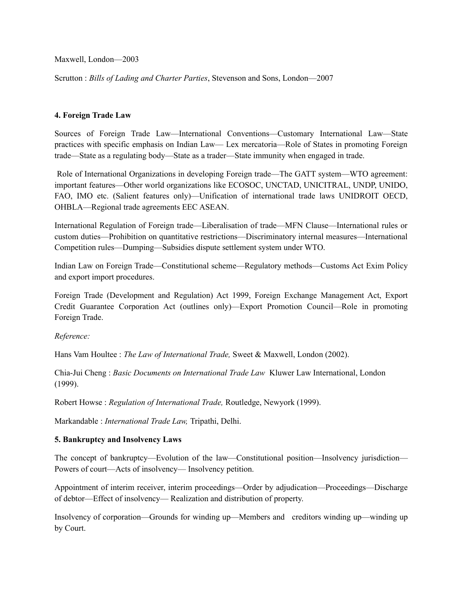Maxwell, London—2003

Scrutton : *Bills of Lading and Charter Parties*, Stevenson and Sons, London—2007

### **4. Foreign Trade Law**

Sources of Foreign Trade Law—International Conventions—Customary International Law—State practices with specific emphasis on Indian Law— Lex mercatoria—Role of States in promoting Foreign trade—State as a regulating body—State as a trader—State immunity when engaged in trade.

Role of International Organizations in developing Foreign trade—The GATT system—WTO agreement: important features—Other world organizations like ECOSOC, UNCTAD, UNICITRAL, UNDP, UNIDO, FAO, IMO etc. (Salient features only)—Unification of international trade laws UNIDROIT OECD, OHBLA—Regional trade agreements EEC ASEAN.

International Regulation of Foreign trade—Liberalisation of trade—MFN Clause—International rules or custom duties—Prohibition on quantitative restrictions—Discriminatory internal measures—International Competition rules—Dumping—Subsidies dispute settlement system under WTO.

Indian Law on Foreign Trade—Constitutional scheme—Regulatory methods—Customs Act Exim Policy and export import procedures.

Foreign Trade (Development and Regulation) Act 1999, Foreign Exchange Management Act, Export Credit Guarantee Corporation Act (outlines only)—Export Promotion Council—Role in promoting Foreign Trade.

*Reference:*

Hans Vam Houltee : *The Law of International Trade,* Sweet & Maxwell, London (2002).

Chia-Jui Cheng : *Basic Documents on International Trade Law* Kluwer Law International, London (1999).

Robert Howse : *Regulation of International Trade,* Routledge, Newyork (1999).

Markandable : *International Trade Law,* Tripathi, Delhi.

### **5. Bankruptcy and Insolvency Laws**

The concept of bankruptcy—Evolution of the law—Constitutional position—Insolvency jurisdiction— Powers of court—Acts of insolvency— Insolvency petition.

Appointment of interim receiver, interim proceedings—Order by adjudication—Proceedings—Discharge of debtor—Effect of insolvency— Realization and distribution of property.

Insolvency of corporation—Grounds for winding up—Members and creditors winding up—winding up by Court.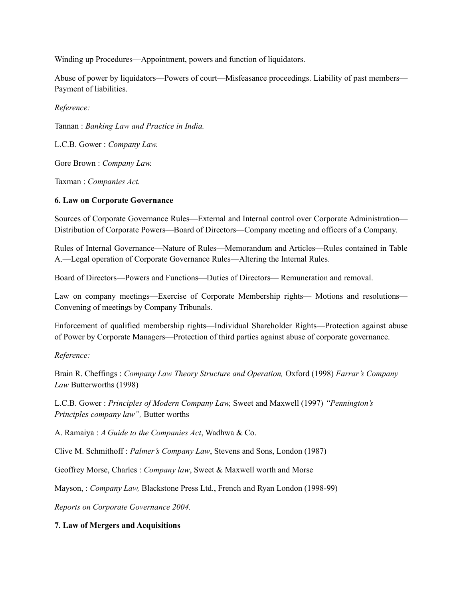Winding up Procedures—Appointment, powers and function of liquidators.

Abuse of power by liquidators—Powers of court—Misfeasance proceedings. Liability of past members— Payment of liabilities.

*Reference:*

Tannan : *Banking Law and Practice in India.*

L.C.B. Gower : *Company Law.*

Gore Brown : *Company Law.*

Taxman : *Companies Act.*

# **6. Law on Corporate Governance**

Sources of Corporate Governance Rules—External and Internal control over Corporate Administration— Distribution of Corporate Powers—Board of Directors—Company meeting and officers of a Company.

Rules of Internal Governance—Nature of Rules—Memorandum and Articles—Rules contained in Table A.—Legal operation of Corporate Governance Rules—Altering the Internal Rules.

Board of Directors—Powers and Functions—Duties of Directors— Remuneration and removal.

Law on company meetings—Exercise of Corporate Membership rights— Motions and resolutions— Convening of meetings by Company Tribunals.

Enforcement of qualified membership rights—Individual Shareholder Rights—Protection against abuse of Power by Corporate Managers—Protection of third parties against abuse of corporate governance.

# *Reference:*

Brain R. Cheffings : *Company Law Theory Structure and Operation,* Oxford (1998) *Farrar's Company Law* Butterworths (1998)

L.C.B. Gower : *Principles of Modern Company Law,* Sweet and Maxwell (1997) *"Pennington's Principles company law",* Butter worths

A. Ramaiya : *A Guide to the Companies Act*, Wadhwa & Co.

Clive M. Schmithoff : *Palmer's Company Law*, Stevens and Sons, London (1987)

Geoffrey Morse, Charles : *Company law*, Sweet & Maxwell worth and Morse

Mayson, : *Company Law,* Blackstone Press Ltd., French and Ryan London (1998-99)

*Reports on Corporate Governance 2004.*

# **7. Law of Mergers and Acquisitions**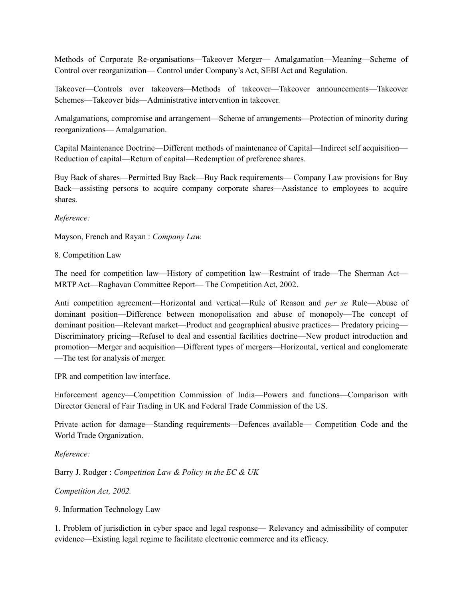Methods of Corporate Re-organisations—Takeover Merger— Amalgamation—Meaning—Scheme of Control over reorganization— Control under Company's Act, SEBI Act and Regulation.

Takeover—Controls over takeovers—Methods of takeover—Takeover announcements—Takeover Schemes—Takeover bids—Administrative intervention in takeover.

Amalgamations, compromise and arrangement—Scheme of arrangements—Protection of minority during reorganizations— Amalgamation.

Capital Maintenance Doctrine—Different methods of maintenance of Capital—Indirect self acquisition— Reduction of capital—Return of capital—Redemption of preference shares.

Buy Back of shares—Permitted Buy Back—Buy Back requirements— Company Law provisions for Buy Back—assisting persons to acquire company corporate shares—Assistance to employees to acquire shares.

*Reference:*

Mayson, French and Rayan : *Company Law.*

8. Competition Law

The need for competition law—History of competition law—Restraint of trade—The Sherman Act— MRTP Act—Raghavan Committee Report— The Competition Act, 2002.

Anti competition agreement—Horizontal and vertical—Rule of Reason and *per se* Rule—Abuse of dominant position—Difference between monopolisation and abuse of monopoly—The concept of dominant position—Relevant market—Product and geographical abusive practices— Predatory pricing— Discriminatory pricing—Refusel to deal and essential facilities doctrine—New product introduction and promotion—Merger and acquisition—Different types of mergers—Horizontal, vertical and conglomerate —The test for analysis of merger.

IPR and competition law interface.

Enforcement agency—Competition Commission of India—Powers and functions—Comparison with Director General of Fair Trading in UK and Federal Trade Commission of the US.

Private action for damage—Standing requirements—Defences available— Competition Code and the World Trade Organization.

*Reference:*

Barry J. Rodger : *Competition Law & Policy in the EC & UK*

*Competition Act, 2002.*

9. Information Technology Law

1. Problem of jurisdiction in cyber space and legal response— Relevancy and admissibility of computer evidence—Existing legal regime to facilitate electronic commerce and its efficacy.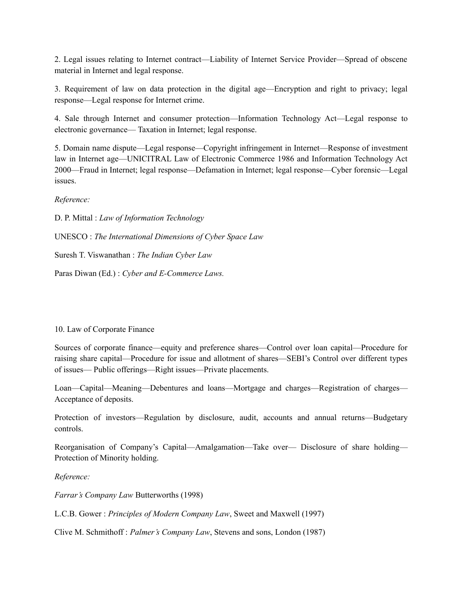2. Legal issues relating to Internet contract—Liability of Internet Service Provider—Spread of obscene material in Internet and legal response.

3. Requirement of law on data protection in the digital age—Encryption and right to privacy; legal response—Legal response for Internet crime.

4. Sale through Internet and consumer protection—Information Technology Act—Legal response to electronic governance— Taxation in Internet; legal response.

5. Domain name dispute—Legal response—Copyright infringement in Internet—Response of investment law in Internet age—UNICITRAL Law of Electronic Commerce 1986 and Information Technology Act 2000—Fraud in Internet; legal response—Defamation in Internet; legal response—Cyber forensic—Legal issues.

*Reference:*

D. P. Mittal : *Law of Information Technology* UNESCO : *The International Dimensions of Cyber Space Law*

Suresh T. Viswanathan : *The Indian Cyber Law*

Paras Diwan (Ed.) : *Cyber and E-Commerce Laws.*

### 10. Law of Corporate Finance

Sources of corporate finance—equity and preference shares—Control over loan capital—Procedure for raising share capital—Procedure for issue and allotment of shares—SEBI's Control over different types of issues— Public offerings—Right issues—Private placements.

Loan—Capital—Meaning—Debentures and loans—Mortgage and charges—Registration of charges— Acceptance of deposits.

Protection of investors—Regulation by disclosure, audit, accounts and annual returns—Budgetary controls.

Reorganisation of Company's Capital—Amalgamation—Take over— Disclosure of share holding— Protection of Minority holding.

*Reference:*

*Farrar's Company Law* Butterworths (1998)

L.C.B. Gower : *Principles of Modern Company Law*, Sweet and Maxwell (1997)

Clive M. Schmithoff : *Palmer's Company Law*, Stevens and sons, London (1987)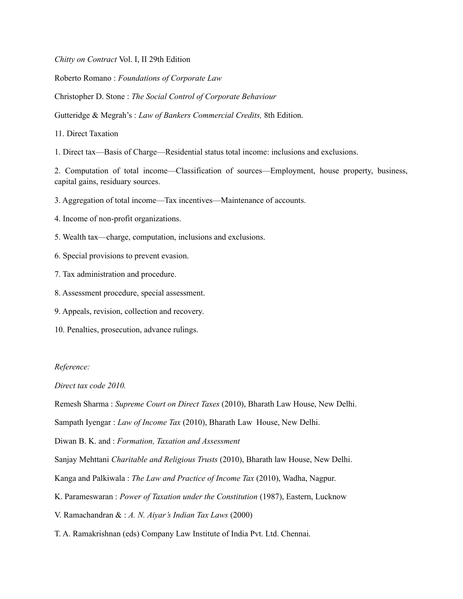*Chitty on Contract* Vol. I, II 29th Edition

Roberto Romano : *Foundations of Corporate Law*

Christopher D. Stone : *The Social Control of Corporate Behaviour*

Gutteridge & Megrah's : *Law of Bankers Commercial Credits,* 8th Edition.

11. Direct Taxation

1. Direct tax—Basis of Charge—Residential status total income: inclusions and exclusions.

2. Computation of total income—Classification of sources—Employment, house property, business, capital gains, residuary sources.

3. Aggregation of total income—Tax incentives—Maintenance of accounts.

4. Income of non-profit organizations.

- 5. Wealth tax—charge, computation, inclusions and exclusions.
- 6. Special provisions to prevent evasion.
- 7. Tax administration and procedure.
- 8. Assessment procedure, special assessment.
- 9. Appeals, revision, collection and recovery.
- 10. Penalties, prosecution, advance rulings.

#### *Reference:*

*Direct tax code 2010.*

Remesh Sharma : *Supreme Court on Direct Taxes* (2010), Bharath Law House, New Delhi.

Sampath Iyengar : *Law of Income Tax* (2010), Bharath Law House, New Delhi.

Diwan B. K. and : *Formation, Taxation and Assessment*

Sanjay Mehttani *Charitable and Religious Trusts* (2010), Bharath law House, New Delhi.

- Kanga and Palkiwala : *The Law and Practice of Income Tax* (2010), Wadha, Nagpur.
- K. Parameswaran : *Power of Taxation under the Constitution* (1987), Eastern, Lucknow
- V. Ramachandran & : *A. N. Aiyar's Indian Tax Laws* (2000)
- T. A. Ramakrishnan (eds) Company Law Institute of India Pvt. Ltd. Chennai.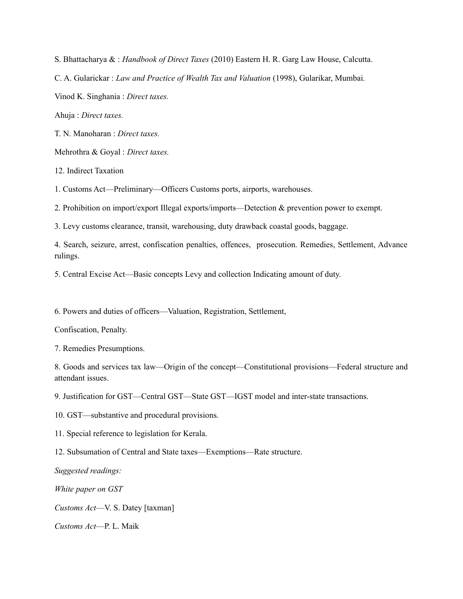S. Bhattacharya & : *Handbook of Direct Taxes* (2010) Eastern H. R. Garg Law House, Calcutta.

C. A. Gularickar : *Law and Practice of Wealth Tax and Valuation* (1998), Gularikar, Mumbai.

Vinod K. Singhania : *Direct taxes.*

Ahuja : *Direct taxes.*

T. N. Manoharan : *Direct taxes.*

Mehrothra & Goyal : *Direct taxes.*

12. Indirect Taxation

1. Customs Act—Preliminary—Officers Customs ports, airports, warehouses.

2. Prohibition on import/export Illegal exports/imports—Detection & prevention power to exempt.

3. Levy customs clearance, transit, warehousing, duty drawback coastal goods, baggage.

4. Search, seizure, arrest, confiscation penalties, offences, prosecution. Remedies, Settlement, Advance rulings.

5. Central Excise Act—Basic concepts Levy and collection Indicating amount of duty.

6. Powers and duties of officers—Valuation, Registration, Settlement,

Confiscation, Penalty.

7. Remedies Presumptions.

8. Goods and services tax law—Origin of the concept—Constitutional provisions—Federal structure and attendant issues.

9. Justification for GST—Central GST—State GST—IGST model and inter-state transactions.

10. GST—substantive and procedural provisions.

11. Special reference to legislation for Kerala.

12. Subsumation of Central and State taxes—Exemptions—Rate structure.

*Suggested readings:*

*White paper on GST*

*Customs Act*—V. S. Datey [taxman]

*Customs Act*—P. L. Maik